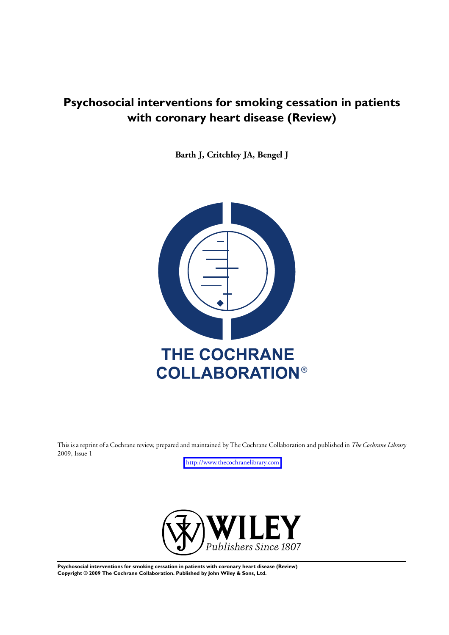# **Psychosocial interventions for smoking cessation in patients with coronary heart disease (Review)**

**Barth J, Critchley JA, Bengel J**



This is a reprint of a Cochrane review, prepared and maintained by The Cochrane Collaboration and published in *The Cochrane Library* 2009, Issue 1

<http://www.thecochranelibrary.com>



**Psychosocial interventions for smoking cessation in patients with coronary heart disease (Review) Copyright © 2009 The Cochrane Collaboration. Published by John Wiley & Sons, Ltd.**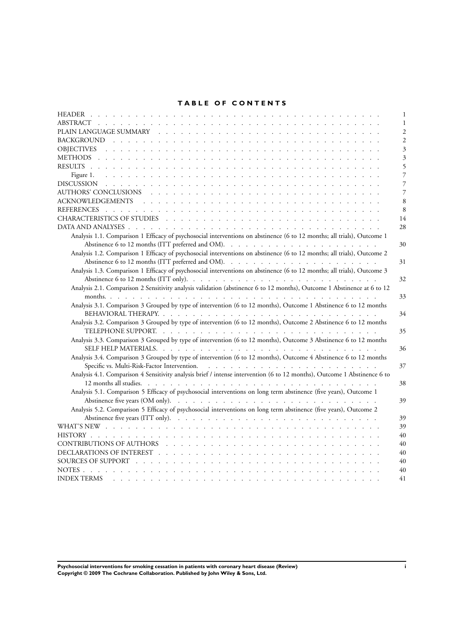### **TABLE OF CONTENTS**

| 1                                                                                                                                                                                                                                    |
|--------------------------------------------------------------------------------------------------------------------------------------------------------------------------------------------------------------------------------------|
|                                                                                                                                                                                                                                      |
| 2                                                                                                                                                                                                                                    |
|                                                                                                                                                                                                                                      |
|                                                                                                                                                                                                                                      |
|                                                                                                                                                                                                                                      |
|                                                                                                                                                                                                                                      |
|                                                                                                                                                                                                                                      |
|                                                                                                                                                                                                                                      |
| 8                                                                                                                                                                                                                                    |
| 8                                                                                                                                                                                                                                    |
| 14                                                                                                                                                                                                                                   |
| 28                                                                                                                                                                                                                                   |
| Analysis 1.1. Comparison 1 Efficacy of psychosocial interventions on abstinence (6 to 12 months; all trials), Outcome 1                                                                                                              |
| 30                                                                                                                                                                                                                                   |
| Analysis 1.2. Comparison 1 Efficacy of psychosocial interventions on abstinence (6 to 12 months; all trials), Outcome 2                                                                                                              |
| 31                                                                                                                                                                                                                                   |
| Analysis 1.3. Comparison 1 Efficacy of psychosocial interventions on abstinence (6 to 12 months; all trials), Outcome 3                                                                                                              |
| 32                                                                                                                                                                                                                                   |
| Analysis 2.1. Comparison 2 Sensitivity analysis validation (abstinence 6 to 12 months), Outcome 1 Abstinence at 6 to 12                                                                                                              |
| 33                                                                                                                                                                                                                                   |
| Analysis 3.1. Comparison 3 Grouped by type of intervention (6 to 12 months), Outcome 1 Abstinence 6 to 12 months                                                                                                                     |
| 34                                                                                                                                                                                                                                   |
| Analysis 3.2. Comparison 3 Grouped by type of intervention (6 to 12 months), Outcome 2 Abstinence 6 to 12 months                                                                                                                     |
| 35                                                                                                                                                                                                                                   |
| Analysis 3.3. Comparison 3 Grouped by type of intervention (6 to 12 months), Outcome 3 Abstinence 6 to 12 months                                                                                                                     |
| 36                                                                                                                                                                                                                                   |
| Analysis 3.4. Comparison 3 Grouped by type of intervention (6 to 12 months), Outcome 4 Abstinence 6 to 12 months                                                                                                                     |
| 37                                                                                                                                                                                                                                   |
| Analysis 4.1. Comparison 4 Sensitivity analysis brief / intense intervention (6 to 12 months), Outcome 1 Abstinence 6 to                                                                                                             |
| 38                                                                                                                                                                                                                                   |
| Analysis 5.1. Comparison 5 Efficacy of psychosocial interventions on long term abstinence (five years), Outcome 1                                                                                                                    |
| 39                                                                                                                                                                                                                                   |
| Analysis 5.2. Comparison 5 Efficacy of psychosocial interventions on long term abstinence (five years), Outcome 2                                                                                                                    |
| 39                                                                                                                                                                                                                                   |
| 39                                                                                                                                                                                                                                   |
| 40                                                                                                                                                                                                                                   |
| 40                                                                                                                                                                                                                                   |
| DECLARATIONS OF INTEREST (experimental contract of the contract of the contract of the contract of the contract of the contract of the contract of the contract of the contract of the contract of the contract of the contrac<br>40 |
| 40                                                                                                                                                                                                                                   |
| 40                                                                                                                                                                                                                                   |
| INDEX TERMS representative and property and property and property and property and property and property and p<br>41                                                                                                                 |

**Psychosocial interventions for smoking cessation in patients with coronary heart disease (Review) i Copyright © 2009 The Cochrane Collaboration. Published by John Wiley & Sons, Ltd.**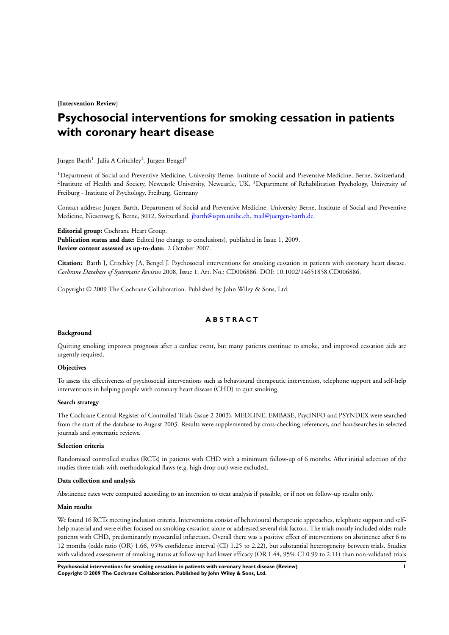**[Intervention Review]**

# **Psychosocial interventions for smoking cessation in patients with coronary heart disease**

Jürgen Barth<sup>1</sup>, Julia A Critchley<sup>2</sup>, Jürgen Bengel<sup>3</sup>

<sup>1</sup>Department of Social and Preventive Medicine, University Berne, Institute of Social and Preventive Medicine, Berne, Switzerland. <sup>2</sup>Institute of Health and Society, Newcastle University, Newcastle, UK. <sup>3</sup>Department of Rehabilitation Psychology, University of Freiburg - Institute of Psychology, Freiburg, Germany

Contact address: Jürgen Barth, Department of Social and Preventive Medicine, University Berne, Institute of Social and Preventive Medicine, Niesenweg 6, Berne, 3012, Switzerland. [jbarth@ispm.unibe.ch.](mailto:jbarth@ispm.unibe.ch) [mail@juergen-barth.de](mailto:mail@juergen-barth.de).

**Editorial group:** Cochrane Heart Group. **Publication status and date:** Edited (no change to conclusions), published in Issue 1, 2009. **Review content assessed as up-to-date:** 2 October 2007.

**Citation:** Barth J, Critchley JA, Bengel J. Psychosocial interventions for smoking cessation in patients with coronary heart disease. *Cochrane Database of Systematic Reviews* 2008, Issue 1. Art. No.: CD006886. DOI: 10.1002/14651858.CD006886.

Copyright © 2009 The Cochrane Collaboration. Published by John Wiley & Sons, Ltd.

### **A B S T R A C T**

#### **Background**

Quitting smoking improves prognosis after a cardiac event, but many patients continue to smoke, and improved cessation aids are urgently required.

#### **Objectives**

To assess the effectiveness of psychosocial interventions such as behavioural therapeutic intervention, telephone support and self-help interventions in helping people with coronary heart disease (CHD) to quit smoking.

#### **Search strategy**

The Cochrane Central Register of Controlled Trials (issue 2 2003), MEDLINE, EMBASE, PsycINFO and PSYNDEX were searched from the start of the database to August 2003. Results were supplemented by cross-checking references, and handsearches in selected journals and systematic reviews.

#### **Selection criteria**

Randomised controlled studies (RCTs) in patients with CHD with a minimum follow-up of 6 months. After initial selection of the studies three trials with methodological flaws (e.g. high drop out) were excluded.

#### **Data collection and analysis**

Abstinence rates were computed according to an intention to treat analysis if possible, or if not on follow-up results only.

### **Main results**

We found 16 RCTs meeting inclusion criteria. Interventions consist of behavioural therapeutic approaches, telephone support and selfhelp material and were either focused on smoking cessation alone or addressed several risk factors. The trials mostly included older male patients with CHD, predominantly myocardial infarction. Overall there was a positive effect of interventions on abstinence after 6 to 12 months (odds ratio (OR) 1.66, 95% confidence interval (CI) 1.25 to 2.22), but substantial heterogeneity between trials. Studies with validated assessment of smoking status at follow-up had lower efficacy (OR 1.44, 95% CI 0.99 to 2.11) than non-validated trials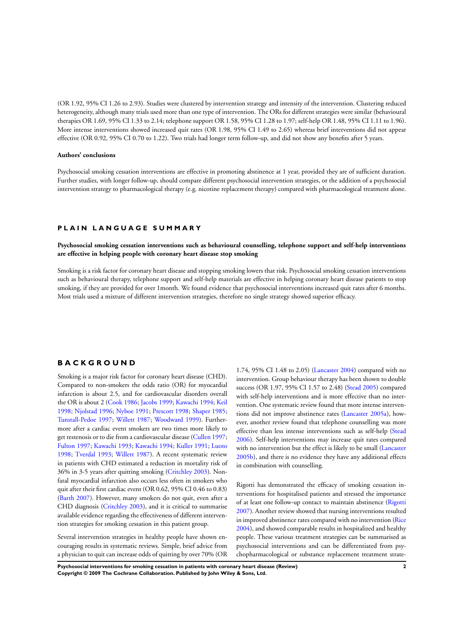(OR 1.92, 95% CI 1.26 to 2.93). Studies were clustered by intervention strategy and intensity of the intervention. Clustering reduced heterogeneity, although many trials used more than one type of intervention. The ORs for different strategies were similar (behavioural therapies OR 1.69, 95% CI 1.33 to 2.14; telephone support OR 1.58, 95% CI 1.28 to 1.97; self-help OR 1.48, 95% CI 1.11 to 1.96). More intense interventions showed increased quit rates (OR 1.98, 95% CI 1.49 to 2.65) whereas brief interventions did not appear effective (OR 0.92, 95% CI 0.70 to 1.22). Two trials had longer term follow-up, and did not show any benefits after 5 years.

### **Authors' conclusions**

Psychosocial smoking cessation interventions are effective in promoting abstinence at 1 year, provided they are of sufficient duration. Further studies, with longer follow-up, should compare different psychosocial intervention strategies, or the addition of a psychosocial intervention strategy to pharmacological therapy (e.g. nicotine replacement therapy) compared with pharmacological treatment alone.

### **P L A I N L A N G U A G E S U M M A R Y**

**Psychosocial smoking cessation interventions such as behavioural counselling, telephone support and self-help interventions are effective in helping people with coronary heart disease stop smoking**

Smoking is a risk factor for coronary heart disease and stopping smoking lowers that risk. Psychosocial smoking cessation interventions such as behavioural therapy, telephone support and self-help materials are effective in helping coronary heart disease patients to stop smoking, if they are provided for over 1month. We found evidence that psychosocial interventions increased quit rates after 6 months. Most trials used a mixture of different intervention strategies, therefore no single strategy showed superior efficacy.

### **B A C K G R O U N D**

Smoking is a major risk factor for coronary heart disease (CHD). Compared to non-smokers the odds ratio (OR) for myocardial infarction is about 2.5, and for cardiovascular disorders overall the OR is about 2 ([Cook 1986](#page-9-0); [Jacobs 1999;](#page-9-0) [Kawachi 1994;](#page-9-0) [Keil](#page-9-0) [1998](#page-9-0); [Njolstad 1996](#page-9-0); [Nyboe 1991](#page-9-0); [Prescott 1998](#page-9-0); [Shaper 1985;](#page-9-0) [Tunstall-Pedoe 1997;](#page-9-0) [Willett 1987](#page-9-0); [Woodward 1999\)](#page-9-0). Furthermore after a cardiac event smokers are two times more likely to get restenosis or to die from a cardiovascular disease ([Cullen 1997;](#page-9-0) [Fulton 1997;](#page-9-0) [Kawachi 1993;](#page-9-0) [Kawachi 1994](#page-9-0); [Kuller 1991;](#page-9-0) [Luoto](#page-9-0) [1998](#page-9-0); [Tverdal 1993;](#page-9-0) [Willett 1987\)](#page-9-0). A recent systematic review in patients with CHD estimated a reduction in mortality risk of 36% in 3-5 years after quitting smoking [\(Critchley 2003\)](#page-9-0). Nonfatal myocardial infarction also occurs less often in smokers who quit after their first cardiac event (OR 0.62, 95% CI 0.46 to 0.83) [\(Barth 2007](#page-9-0)). However, many smokers do not quit, even after a CHD diagnosis ([Critchley 2003](#page-9-0)), and it is critical to summarise available evidence regarding the effectiveness of different intervention strategies for smoking cessation in this patient group.

Several intervention strategies in healthy people have shown encouraging results in systematic reviews. Simple, brief advice from a physician to quit can increase odds of quitting by over 70% (OR

1.74, 95% CI 1.48 to 2.05) ([Lancaster 2004](#page-9-0)) compared with no intervention. Group behaviour therapy has been shown to double success (OR 1.97, 95% CI 1.57 to 2.48) ([Stead 2005\)](#page-9-0) compared with self-help interventions and is more effective than no intervention. One systematic review found that more intense interventions did not improve abstinence rates ([Lancaster 2005a](#page-9-0)), however, another review found that telephone counselling was more effective than less intense interventions such as self-help [\(Stead](#page-9-0) [2006](#page-9-0)). Self-help interventions may increase quit rates compared with no intervention but the effect is likely to be small [\(Lancaster](#page-9-0) [2005b\)](#page-9-0), and there is no evidence they have any additional effects in combination with counselling.

Rigotti has demonstrated the efficacy of smoking cessation interventions for hospitalised patients and stressed the importance of at least one follow-up contact to maintain abstinence ([Rigotti](#page-9-0) [2007](#page-9-0)). Another review showed that nursing interventions resulted in improved abstinence rates compared with no intervention ([Rice](#page-9-0) [2004](#page-9-0)), and showed comparable results in hospitalized and healthy people. These various treatment strategies can be summarised as psychosocial interventions and can be differentiated from psychopharmacological or substance replacement treatment strate-

**Psychosocial interventions for smoking cessation in patients with coronary heart disease (Review) 2 Copyright © 2009 The Cochrane Collaboration. Published by John Wiley & Sons, Ltd.**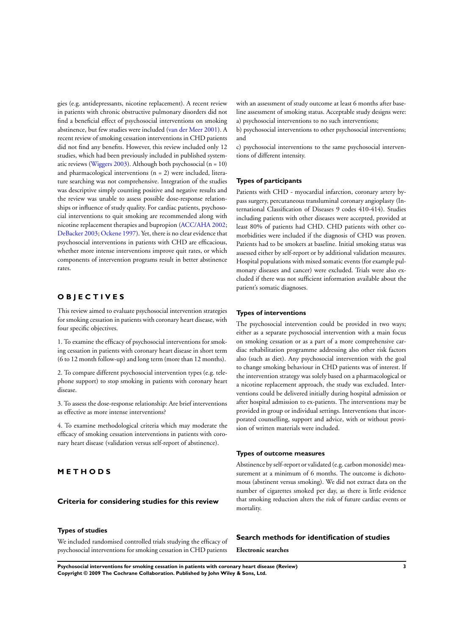gies (e.g. antidepressants, nicotine replacement). A recent review in patients with chronic obstructive pulmonary disorders did not find a beneficial effect of psychosocial interventions on smoking abstinence, but few studies were included [\(van der Meer 2001](#page-9-0)). A recent review of smoking cessation interventions in CHD patients did not find any benefits. However, this review included only 12 studies, which had been previously included in published system-atic reviews [\(Wiggers 2003\)](#page-9-0). Although both psychosocial  $(n = 10)$ and pharmacological interventions  $(n = 2)$  were included, literature searching was not comprehensive. Integration of the studies was descriptive simply counting positive and negative results and the review was unable to assess possible dose-response relationships or influence of study quality. For cardiac patients, psychosocial interventions to quit smoking are recommended along with nicotine replacement therapies and bupropion ([ACC/AHA 2002;](#page-9-0) [DeBacker 2003;](#page-9-0) [Ockene 1997](#page-9-0)). Yet, there is no clear evidence that psychosocial interventions in patients with CHD are efficacious, whether more intense interventions improve quit rates, or which components of intervention programs result in better abstinence rates.

### **O B J E C T I V E S**

This review aimed to evaluate psychosocial intervention strategies for smoking cessation in patients with coronary heart disease, with four specific objectives.

1. To examine the efficacy of psychosocial interventions for smoking cessation in patients with coronary heart disease in short term (6 to 12 month follow-up) and long term (more than 12 months).

2. To compare different psychosocial intervention types (e.g. telephone support) to stop smoking in patients with coronary heart disease.

3. To assess the dose-response relationship: Are brief interventions as effective as more intense interventions?

4. To examine methodological criteria which may moderate the efficacy of smoking cessation interventions in patients with coronary heart disease (validation versus self-report of abstinence).

### **M E T H O D S**

#### **Criteria for considering studies for this review**

#### **Types of studies**

We included randomised controlled trials studying the efficacy of psychosocial interventions for smoking cessation in CHD patients with an assessment of study outcome at least 6 months after baseline assessment of smoking status. Acceptable study designs were: a) psychosocial interventions to no such interventions;

b) psychosocial interventions to other psychosocial interventions; and

c) psychosocial interventions to the same psychosocial interventions of different intensity.

#### **Types of participants**

Patients with CHD - myocardial infarction, coronary artery bypass surgery, percutaneous transluminal coronary angioplasty (International Classification of Diseases 9 codes 410-414). Studies including patients with other diseases were accepted, provided at least 80% of patients had CHD. CHD patients with other comorbidities were included if the diagnosis of CHD was proven. Patients had to be smokers at baseline. Initial smoking status was assessed either by self-report or by additional validation measures. Hospital populations with mixed somatic events (for example pulmonary diseases and cancer) were excluded. Trials were also excluded if there was not sufficient information available about the patient's somatic diagnoses.

#### **Types of interventions**

The psychosocial intervention could be provided in two ways; either as a separate psychosocial intervention with a main focus on smoking cessation or as a part of a more comprehensive cardiac rehabilitation programme addressing also other risk factors also (such as diet). Any psychosocial intervention with the goal to change smoking behaviour in CHD patients was of interest. If the intervention strategy was solely based on a pharmacological or a nicotine replacement approach, the study was excluded. Interventions could be delivered initially during hospital admission or after hospital admission to ex-patients. The interventions may be provided in group or individual settings. Interventions that incorporated counselling, support and advice, with or without provision of written materials were included.

### **Types of outcome measures**

Abstinence by self-report or validated (e.g. carbon monoxide) measurement at a minimum of 6 months. The outcome is dichotomous (abstinent versus smoking). We did not extract data on the number of cigarettes smoked per day, as there is little evidence that smoking reduction alters the risk of future cardiac events or mortality.

#### **Search methods for identification of studies**

**Electronic searches**

**Psychosocial interventions for smoking cessation in patients with coronary heart disease (Review) 3 Copyright © 2009 The Cochrane Collaboration. Published by John Wiley & Sons, Ltd.**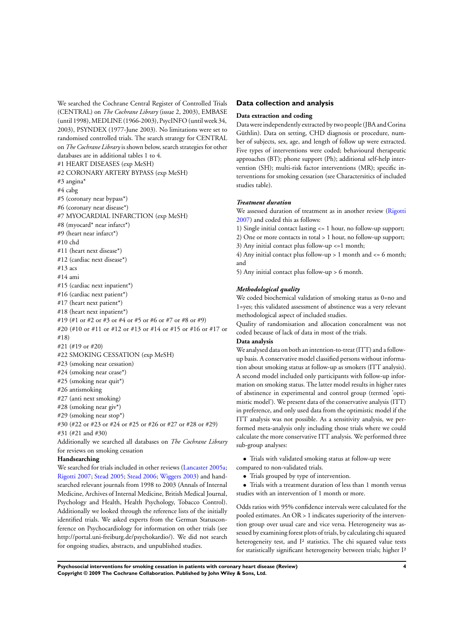We searched the Cochrane Central Register of Controlled Trials (CENTRAL) on *The Cochrane Library* (issue 2, 2003), EMBASE (until 1998),MEDLINE (1966-2003), PsycINFO (until week 34, 2003), PSYNDEX (1977-June 2003). No limitations were set to randomised controlled trials. The search strategy for CENTRAL on *The Cochrane Library*is shown below, search strategies for other databases are in additional tables 1 to 4. #1 HEART DISEASES (exp MeSH) #2 CORONARY ARTERY BYPASS (exp MeSH) #3 angina\* #4 cabg #5 (coronary near bypass\*) #6 (coronary near disease\*) #7 MYOCARDIAL INFARCTION (exp MeSH) #8 (myocard\* near infarct\*) #9 (heart near infarct\*) #10 chd #11 (heart next disease\*) #12 (cardiac next disease\*) #13 acs #14 ami #15 (cardiac next inpatient\*) #16 (cardiac next patient\*) #17 (heart next patient\*) #18 (heart next inpatient\*) #19 (#1 or #2 or #3 or #4 or #5 or #6 or #7 or #8 or #9) #20 (#10 or #11 or #12 or #13 or #14 or #15 or #16 or #17 or #18) #21 (#19 or #20) #22 SMOKING CESSATION (exp MeSH) #23 (smoking near cessation) #24 (smoking near cease\*) #25 (smoking near quit\*) #26 antismoking #27 (anti next smoking) #28 (smoking near giv\*) #29 (smoking near stop\*) #30 (#22 or #23 or #24 or #25 or #26 or #27 or #28 or #29) #31 (#21 and #30) Additionally we searched all databases on *The Cochrane Library* for reviews on smoking cessation **Handsearching** We searched for trials included in other reviews ([Lancaster 2005a;](#page-9-0)

[Rigotti 2007;](#page-9-0) [Stead 2005](#page-9-0); [Stead 2006](#page-9-0); [Wiggers 2003\)](#page-9-0) and handsearched relevant journals from 1998 to 2003 (Annals of Internal Medicine, Archives of Internal Medicine, British Medical Journal, Psychology and Health, Health Psychology, Tobacco Control). Additionally we looked through the reference lists of the initially identified trials. We asked experts from the German Statusconference on Psychocardiology for information on other trials (see http://portal.uni-freiburg.de/psychokardio/). We did not search for ongoing studies, abstracts, and unpublished studies.

### **Data collection and analysis**

#### **Data extraction and coding**

Data were independently extracted by two people (JBA and Corina Güthlin). Data on setting, CHD diagnosis or procedure, number of subjects, sex, age, and length of follow up were extracted. Five types of interventions were coded; behavioural therapeutic approaches (BT); phone support (Ph); additional self-help intervention (SH); multi-risk factor interventions (MR); specific interventions for smoking cessation (see Charactersitics of included studies table).

#### *Treatment duration*

We assessed duration of treatment as in another review ([Rigotti](#page-9-0) [2007](#page-9-0)) and coded this as follows:

1) Single initial contact lasting <= 1 hour, no follow-up support; 2) One or more contacts in total > 1 hour, no follow-up support; 3) Any initial contact plus follow-up <=1 month;

4) Any initial contact plus follow-up > 1 month and <= 6 month; and

5) Any initial contact plus follow-up > 6 month.

#### *Methodological quality*

We coded biochemical validation of smoking status as 0=no and 1=yes; this validated assessment of abstinence was a very relevant methodological aspect of included studies.

Quality of randomisation and allocation concealment was not coded because of lack of data in most of the trials.

### **Data analysis**

We analysed data on both an intention-to-treat (ITT) and a followup basis. A conservative model classified persons without information about smoking status at follow-up as smokers (ITT analysis). A second model included only participants with follow-up information on smoking status. The latter model results in higher rates of abstinence in experimental and control group (termed 'optimistic model'). We present data of the conservative analysis (ITT) in preference, and only used data from the optimistic model if the ITT analysis was not possible. As a sensitivity analysis, we performed meta-analysis only including those trials where we could calculate the more conservative ITT analysis. We performed three sub-group analyses:

• Trials with validated smoking status at follow-up were compared to non-validated trials.

• Trials grouped by type of intervention.

• Trials with a treatment duration of less than 1 month versus studies with an intervention of 1 month or more.

Odds ratios with 95% confidence intervals were calculated for the pooled estimates. An OR > 1 indicates superiority of the intervention group over usual care and vice versa. Heterogeneity was assessed by examining forest plots of trials, by calculating chi squared heterogeneity test, and I² statistics. The chi squared value tests for statistically significant heterogeneity between trials; higher I²

**Psychosocial interventions for smoking cessation in patients with coronary heart disease (Review) 4 Copyright © 2009 The Cochrane Collaboration. Published by John Wiley & Sons, Ltd.**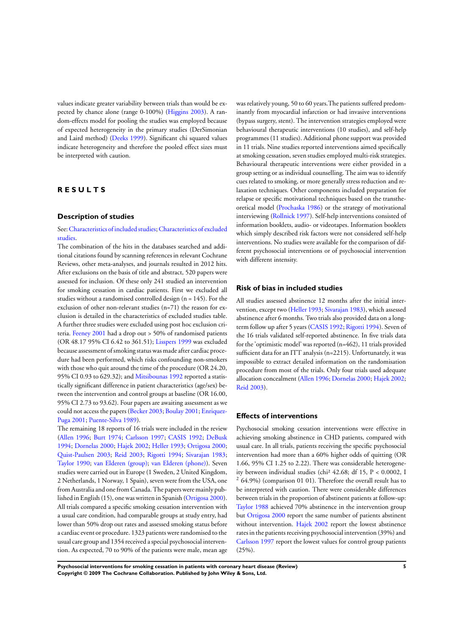values indicate greater variability between trials than would be expected by chance alone (range 0-100%) [\(Higgins 2003\)](#page-9-0). A random-effects model for pooling the studies was employed because of expected heterogeneity in the primary studies (DerSimonian and Laird method) [\(Deeks 1999](#page-9-0)). Significant chi squared values indicate heterogeneity and therefore the pooled effect sizes must be interpreted with caution.

### **R E S U L T S**

#### **Description of studies**

### See:[Characteristics of included studies;](#page-16-0)[Characteristics of excluded](#page-25-0) [studies.](#page-25-0)

The combination of the hits in the databases searched and additional citations found by scanning references in relevant Cochrane Reviews, other meta-analyses, and journals resulted in 2012 hits. After exclusions on the basis of title and abstract, 520 papers were assessed for inclusion. Of these only 241 studied an intervention for smoking cessation in cardiac patients. First we excluded all studies without a randomised controlled design  $(n = 145)$ . For the exclusion of other non-relevant studies (n=71) the reason for exclusion is detailed in the characteristics of excluded studies table. A further three studies were excluded using post hoc exclusion criteria. [Feeney 2001](#page-9-0) had a drop out > 50% of randomised patients (OR 48.17 95% CI 6.42 to 361.51); [Lisspers 1999](#page-9-0) was excluded because assessment of smoking status was made after cardiac procedure had been performed, which risks confounding non-smokers with those who quit around the time of the procedure (OR 24.20, 95% CI 0.93 to 629.32); and [Mitsibounas 1992](#page-9-0) reported a statistically significant difference in patient characteristics (age/sex) between the intervention and control groups at baseline (OR 16.00, 95% CI 2.73 to 93.62). Four papers are awaiting assessment as we could not access the papers [\(Becker 2003](#page-9-0); [Boulay 2001](#page-9-0); [Enriquez-](#page-9-0)[Puga 2001](#page-9-0); [Puente-Silva 1989](#page-9-0)).

The remaining 18 reports of 16 trials were included in the review [\(Allen 1996;](#page-9-0) [Burt 1974](#page-9-0); [Carlsson 1997;](#page-9-0) [CASIS 1992](#page-9-0); [DeBusk](#page-9-0) [1994](#page-9-0); [Dornelas 2000;](#page-9-0) [Hajek 2002;](#page-9-0) [Heller 1993;](#page-9-0) [Ortigosa 2000;](#page-9-0) [Quist-Paulsen 2003](#page-9-0); [Reid 2003](#page-9-0); [Rigotti 1994;](#page-9-0) [Sivarajan 1983;](#page-9-0) [Taylor 1990](#page-9-0); [van Elderen \(group\);](#page-9-0) [van Elderen \(phone\)](#page-9-0)). Seven studies were carried out in Europe (1 Sweden, 2 United Kingdom, 2 Netherlands, 1 Norway, 1 Spain), seven were from the USA, one from Australia and one from Canada. The papers were mainly published in English (15), one was written in Spanish ([Ortigosa 2000](#page-9-0)). All trials compared a specific smoking cessation intervention with a usual care condition, had comparable groups at study entry, had lower than 50% drop out rates and assessed smoking status before a cardiac event or procedure. 1323 patients were randomised to the usual care group and 1354 received a special psychosocial intervention. As expected, 70 to 90% of the patients were male, mean age

was relatively young, 50 to 60 years.The patients suffered predominantly from myocardial infarction or had invasive interventions (bypass surgery, stent). The intervention strategies employed were behavioural therapeutic interventions (10 studies), and self-help programmes (11 studies). Additional phone support was provided in 11 trials. Nine studies reported interventions aimed specifically at smoking cessation, seven studies employed multi-risk strategies. Behavioural therapeutic interventions were either provided in a group setting or as individual counselling. The aim was to identify cues related to smoking, or more generally stress reduction and relaxation techniques. Other components included preparation for relapse or specific motivational techniques based on the transtheoretical model [\(Prochaska 1986\)](#page-9-0) or the strategy of motivational interviewing [\(Rollnick 1997\)](#page-9-0). Self-help interventions consisted of information booklets, audio- or videotapes. Information booklets which simply described risk factors were not considered self-help interventions. No studies were available for the comparison of different psychosocial interventions or of psychosocial intervention with different intensity.

#### **Risk of bias in included studies**

All studies assessed abstinence 12 months after the initial intervention, except two ([Heller 1993](#page-9-0); [Sivarajan 1983](#page-9-0)), which assessed abstinence after 6 months. Two trials also provided data on a longterm follow up after 5 years ([CASIS 1992](#page-9-0); [Rigotti 1994\)](#page-9-0). Seven of the 16 trials validated self-reported abstinence. In five trials data for the 'optimistic model' was reported (n=462), 11 trials provided sufficient data for an ITT analysis (n=2215). Unfortunately, it was impossible to extract detailed information on the randomisation procedure from most of the trials. Only four trials used adequate allocation concealment ([Allen 1996;](#page-9-0) [Dornelas 2000;](#page-9-0) [Hajek 2002;](#page-9-0) [Reid 2003\)](#page-9-0).

### **Effects of interventions**

Psychosocial smoking cessation interventions were effective in achieving smoking abstinence in CHD patients, compared with usual care. In all trials, patients receiving the specific psychosocial intervention had more than a 60% higher odds of quitting (OR 1.66, 95% CI 1.25 to 2.22). There was considerable heterogeneity between individual studies (chi² 42.68; df 15, P < 0.0002, I  $264.9\%$ ) (comparison 01 01). Therefore the overall result has to be interpreted with caution. There were considerable differences between trials in the proportion of abstinent patients at follow-up: [Taylor 1988](#page-9-0) achieved 70% abstinence in the intervention group but [Ortigosa 2000](#page-9-0) report the same number of patients abstinent without intervention. [Hajek 2002](#page-9-0) report the lowest abstinence rates in the patients receiving psychosocial intervention (39%) and [Carlsson 1997](#page-9-0) report the lowest values for control group patients (25%).

**Psychosocial interventions for smoking cessation in patients with coronary heart disease (Review) 5 Copyright © 2009 The Cochrane Collaboration. Published by John Wiley & Sons, Ltd.**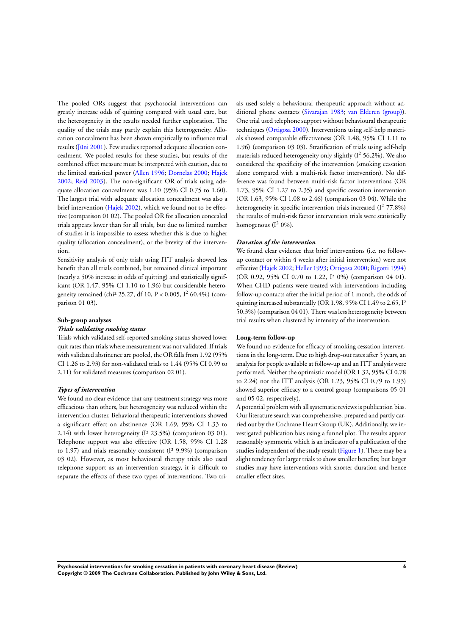The pooled ORs suggest that psychosocial interventions can greatly increase odds of quitting compared with usual care, but the heterogeneity in the results needed further exploration. The quality of the trials may partly explain this heterogeneity. Allocation concealment has been shown empirically to influence trial results ([Jüni 2001](#page-9-0)). Few studies reported adequate allocation concealment. We pooled results for these studies, but results of the combined effect measure must be interpreted with caution, due to the limited statistical power [\(Allen 1996](#page-9-0); [Dornelas 2000](#page-9-0); [Hajek](#page-9-0) [2002](#page-9-0); [Reid 2003](#page-9-0)). The non-significant OR of trials using adequate allocation concealment was 1.10 (95% CI 0.75 to 1.60). The largest trial with adequate allocation concealment was also a brief intervention [\(Hajek 2002](#page-9-0)), which we found not to be effective (comparison 01 02). The pooled OR for allocation concealed trials appears lower than for all trials, but due to limited number of studies it is impossible to assess whether this is due to higher quality (allocation concealment), or the brevity of the intervention.

Sensitivity analysis of only trials using ITT analysis showed less benefit than all trials combined, but remained clinical important (nearly a 50% increase in odds of quitting) and statistically significant (OR 1.47, 95% CI 1.10 to 1.96) but considerable heterogeneity remained (chi<sup>2</sup> 25.27, df 10, P < 0.005, I<sup>2</sup> 60.4%) (comparison 01 03).

#### **Sub-group analyses**

### *Trials validating smoking status*

Trials which validated self-reported smoking status showed lower quit rates than trials where measurement was not validated. If trials with validated abstinence are pooled, the OR falls from 1.92 (95% CI 1.26 to 2.93) for non-validated trials to 1.44 (95% CI 0.99 to 2.11) for validated measures (comparison 02 01).

#### *Types of intervention*

We found no clear evidence that any treatment strategy was more efficacious than others, but heterogeneity was reduced within the intervention cluster. Behavioral therapeutic interventions showed a significant effect on abstinence (OR 1.69, 95% CI 1.33 to 2.14) with lower heterogeneity (I² 23.5%) (comparison 03 01). Telephone support was also effective (OR 1.58, 95% CI 1.28 to 1.97) and trials reasonably consistent (I² 9.9%) (comparison 03 02). However, as most behavioural therapy trials also used telephone support as an intervention strategy, it is difficult to separate the effects of these two types of interventions. Two trials used solely a behavioural therapeutic approach without additional phone contacts [\(Sivarajan 1983;](#page-9-0) [van Elderen \(group\)](#page-9-0)). One trial used telephone support without behavioural therapeutic techniques [\(Ortigosa 2000](#page-9-0)). Interventions using self-help materials showed comparable effectiveness (OR 1.48, 95% CI 1.11 to 1.96) (comparison 03 03). Stratification of trials using self-help materials reduced heterogeneity only slightly  $(I^2 56.2\%)$ . We also considered the specificity of the intervention (smoking cessation alone compared with a multi-risk factor intervention). No difference was found between multi-risk factor interventions (OR 1.73, 95% CI 1.27 to 2.35) and specific cessation intervention (OR 1.63, 95% CI 1.08 to 2.46) (comparison 03 04). While the heterogeneity in specific intervention trials increased  $(I^2 77.8\%)$ the results of multi-risk factor intervention trials were statistically homogenous  $(I^2 0\%)$ .

### *Duration of the intervention*

We found clear evidence that brief interventions (i.e. no followup contact or within 4 weeks after initial intervention) were not effective [\(Hajek 2002](#page-9-0); [Heller 1993;](#page-9-0) [Ortigosa 2000;](#page-9-0) [Rigotti 1994](#page-9-0)) (OR 0.92, 95% CI 0.70 to 1.22, I² 0%) (comparison 04 01). When CHD patients were treated with interventions including follow-up contacts after the initial period of 1 month, the odds of quitting increased substantially (OR 1.98, 95% CI 1.49 to 2.65, I<sup>2</sup> 50.3%) (comparison 04 01). There was less heterogeneity between trial results when clustered by intensity of the intervention.

#### **Long-term follow-up**

We found no evidence for efficacy of smoking cessation interventions in the long-term. Due to high drop-out rates after 5 years, an analysis for people available at follow-up and an ITT analysis were performed. Neither the optimistic model (OR 1.32, 95% CI 0.78 to 2.24) nor the ITT analysis (OR 1.23, 95% CI 0.79 to 1.93) showed superior efficacy to a control group (comparisons 05 01 and 05 02, respectively).

A potential problem with all systematic reviews is publication bias. Our literature search was comprehensive, prepared and partly carried out by the Cochrane Heart Group (UK). Additionally, we investigated publication bias using a funnel plot. The results appear reasonably symmetric which is an indicator of a publication of the studies independent of the study result [\(Figure 1\)](#page-8-0). There may be a slight tendency for larger trials to show smaller benefits; but larger studies may have interventions with shorter duration and hence smaller effect sizes.

**Psychosocial interventions for smoking cessation in patients with coronary heart disease (Review) 6 Copyright © 2009 The Cochrane Collaboration. Published by John Wiley & Sons, Ltd.**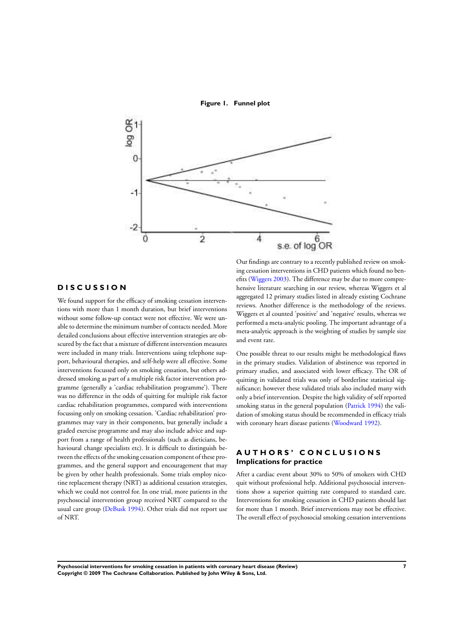**Figure 1. Funnel plot**

<span id="page-8-0"></span>

### **D I S C U S S I O N**

We found support for the efficacy of smoking cessation interventions with more than 1 month duration, but brief interventions without some follow-up contact were not effective. We were unable to determine the minimum number of contacts needed. More detailed conclusions about effective intervention strategies are obscured by the fact that a mixture of different intervention measures were included in many trials. Interventions using telephone support, behavioural therapies, and self-help were all effective. Some interventions focussed only on smoking cessation, but others addressed smoking as part of a multiple risk factor intervention programme (generally a 'cardiac rehabilitation programme'). There was no difference in the odds of quitting for multiple risk factor cardiac rehabilitation programmes, compared with interventions focussing only on smoking cessation. 'Cardiac rehabilitation' programmes may vary in their components, but generally include a graded exercise programme and may also include advice and support from a range of health professionals (such as dieticians, behavioural change specialists etc). It is difficult to distinguish between the effects of the smoking cessation component of these programmes, and the general support and encouragement that may be given by other health professionals. Some trials employ nicotine replacement therapy (NRT) as additional cessation strategies, which we could not control for. In one trial, more patients in the psychosocial intervention group received NRT compared to the usual care group ([DeBusk 1994](#page-9-0)). Other trials did not report use of NRT.

Our findings are contrary to a recently published review on smoking cessation interventions in CHD patients which found no benefits ([Wiggers 2003](#page-9-0)). The difference may be due to more comprehensive literature searching in our review, whereas Wiggers et al aggregated 12 primary studies listed in already existing Cochrane reviews. Another difference is the methodology of the reviews. Wiggers et al counted 'positive' and 'negative' results, whereas we performed a meta-analytic pooling. The important advantage of a meta-analytic approach is the weighting of studies by sample size and event rate.

One possible threat to our results might be methodological flaws in the primary studies. Validation of abstinence was reported in primary studies, and associated with lower efficacy. The OR of quitting in validated trials was only of borderline statistical significance; however these validated trials also included many with only a brief intervention. Despite the high validity of self reported smoking status in the general population [\(Patrick 1994\)](#page-9-0) the validation of smoking status should be recommended in efficacy trials with coronary heart disease patients [\(Woodward 1992\)](#page-9-0).

### **A U T H O R S ' C O N C L U S I O N S Implications for practice**

After a cardiac event about 30% to 50% of smokers with CHD quit without professional help. Additional psychosocial interventions show a superior quitting rate compared to standard care. Interventions for smoking cessation in CHD patients should last for more than 1 month. Brief interventions may not be effective. The overall effect of psychosocial smoking cessation interventions

**Psychosocial interventions for smoking cessation in patients with coronary heart disease (Review) 7 Copyright © 2009 The Cochrane Collaboration. Published by John Wiley & Sons, Ltd.**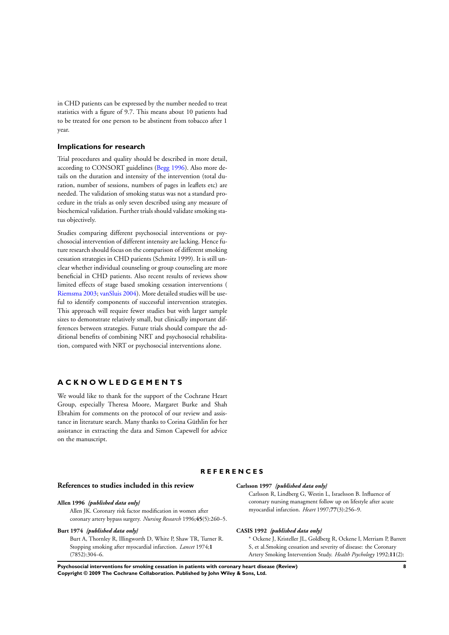<span id="page-9-0"></span>in CHD patients can be expressed by the number needed to treat statistics with a figure of 9.7. This means about 10 patients had to be treated for one person to be abstinent from tobacco after 1 year.

#### **Implications for research**

Trial procedures and quality should be described in more detail, according to CONSORT guidelines (Begg 1996). Also more details on the duration and intensity of the intervention (total duration, number of sessions, numbers of pages in leaflets etc) are needed. The validation of smoking status was not a standard procedure in the trials as only seven described using any measure of biochemical validation. Further trials should validate smoking status objectively.

Studies comparing different psychosocial interventions or psychosocial intervention of different intensity are lacking. Hence future research should focus on the comparison of different smoking cessation strategies in CHD patients (Schmitz 1999). It is still unclear whether individual counseling or group counseling are more beneficial in CHD patients. Also recent results of reviews show limited effects of stage based smoking cessation interventions ( Riemsma 2003; vanSluis 2004). More detailed studies will be useful to identify components of successful intervention strategies. This approach will require fewer studies but with larger sample sizes to demonstrate relatively small, but clinically important differences between strategies. Future trials should compare the additional benefits of combining NRT and psychosocial rehabilitation, compared with NRT or psychosocial interventions alone.

### **A C K N O W L E D G E M E N T S**

We would like to thank for the support of the Cochrane Heart Group, especially Theresa Moore, Margaret Burke and Shah Ebrahim for comments on the protocol of our review and assistance in literature search. Many thanks to Corina Güthlin for her assistance in extracting the data and Simon Capewell for advice on the manuscript.

#### **R E F E R E N C E S**

#### **References to studies included in this review**

#### **Allen 1996** *{published data only}*

Allen JK. Coronary risk factor modification in women after coronary artery bypass surgery. *Nursing Research* 1996;**45**(5):260–5.

#### **Burt 1974** *{published data only}*

Burt A, Thornley R, Illingworth D, White P, Shaw TR, Turner R. Stopping smoking after myocardial infarction. *Lancet* 1974;**1** (7852):304–6.

#### **Carlsson 1997** *{published data only}*

Carlsson R, Lindberg G, Westin L, Israelsson B. Influence of coronary nursing managment follow up on lifestyle after acute myocardial infarction. *Heart* 1997;**77**(3):256–9.

#### **CASIS 1992** *{published data only}*

- <sup>∗</sup> Ockene J, Kristeller JL, Goldberg R, Ockene I, Merriam P, Barrett
- S, et al.Smoking cessation and severity of disease: the Coronary
- Artery Smoking Intervention Study. *Health Psychology* 1992;**11**(2):

**Psychosocial interventions for smoking cessation in patients with coronary heart disease (Review) 8 Copyright © 2009 The Cochrane Collaboration. Published by John Wiley & Sons, Ltd.**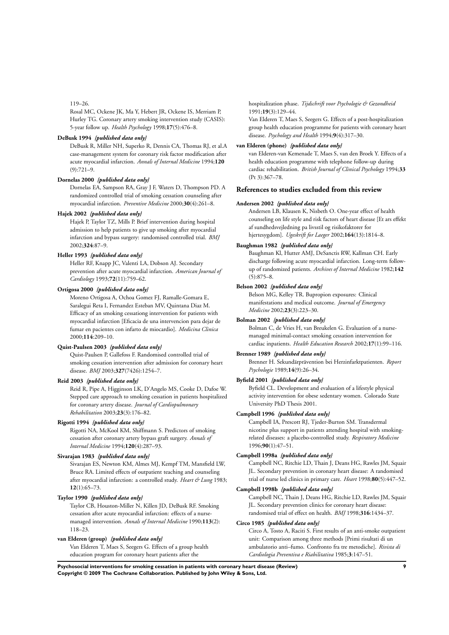#### 119–26.

Rosal MC, Ockene JK, Ma Y, Hebert JR, Ockene IS, Merriam P, Hurley TG. Coronary artery smoking intervention study (CASIS): 5-year follow up. *Health Psychology* 1998;**17**(5):476–8.

### **DeBusk 1994** *{published data only}*

DeBusk R, Miller NH, Superko R, Dennis CA, Thomas RJ, et al.A case-management system for coronary risk factor modification after acute myocardial infarction. *Annals of Internal Medicine* 1994;**120**  $(9):721-9.$ 

#### **Dornelas 2000** *{published data only}*

Dornelas EA, Sampson RA, Gray J F, Waters D, Thompson PD. A randomized controlled trial of smoking cessation counseling after myocardial infarction. *Preventive Medicine* 2000;**30**(4):261–8.

#### **Hajek 2002** *{published data only}*

Hajek P, Taylor TZ, Mills P. Brief intervention during hospital admission to help patients to give up smoking after myocardial infarction and bypass surgery: randomised controlled trial. *BMJ* 2002;**324**:87–9.

#### **Heller 1993** *{published data only}*

Heller RF, Knapp JC, Valenti LA, Dobson AJ. Secondary prevention after acute myocardial infarction. *American Journal of Cardiology* 1993;**72**(11):759–62.

#### **Ortigosa 2000** *{published data only}*

Moreno Ortigosa A, Ochoa Gomez FJ, Ramalle-Gomara E, Saralegui Reta I, Fernandez Esteban MV, Quintana Diaz M. Efficacy of an smoking cessationg intervention for patients with myocardial infarction [Eficacia de una intervencion para dejar de fumar en pacientes con infarto de miocardio]. *Medicina Clinica* 2000;**114**:209–10.

#### **Quist-Paulsen 2003** *{published data only}*

Quist-Paulsen P, Gallefoss F. Randomised controlled trial of smoking cessation intervention after admission for coronary heart disease. *BMJ* 2003;**327**(7426):1254–7.

#### **Reid 2003** *{published data only}*

Reid R, Pipe A, Higginson LK, D'Angelo MS, Cooke D, Dafoe W. Stepped care approach to smoking cessation in patients hospitalized for coronary artery disease. *Journal of Cardiopulmonary Rehabilitation* 2003;**23**(3):176–82.

#### **Rigotti 1994** *{published data only}*

Rigotti NA, McKool KM, Shiffmann S. Predictors of smoking cessation after coronary artery bypass graft surgery. *Annals of Internal Medicine* 1994;**120**(4):287–93.

#### **Sivarajan 1983** *{published data only}*

Sivarajan ES, Newton KM, Almes MJ, Kempf TM, Mansfield LW, Bruce RA. Limited effects of outpatient teaching and counseling after myocardial infarction: a controlled study. *Heart & Lung* 1983; **12**(1):65–73.

#### **Taylor 1990** *{published data only}*

Taylor CB, Houston-Miller N, Killen JD, DeBusk RF. Smoking cessation after acute myocardial infarction: effects of a nursemanaged intervention. *Annals of Internal Medicine* 1990;**113**(2): 118–23.

#### **van Elderen (group)** *{published data only}*

Van Elderen T, Maes S, Seegers G. Effects of a group health education program for coronary heart patients after the

hospitalization phase. *Tijdschrift voor Psychologie & Gezondheid* 1991;**19**(3):129–44.

Van Elderen T, Maes S, Seegers G. Effects of a post-hospitalization group health education programme for patients with coronary heart disease. *Psychology and Health* 1994;**9**(4):317–30.

#### **van Elderen (phone)** *{published data only}*

van Elderen-van Kemenade T, Maes S, van den Broek Y. Effects of a health education programme with telephone follow-up during cardiac rehabilitation. *British Journal of Clinical Psychology* 1994;**33** (Pt 3):367–78.

#### **References to studies excluded from this review**

#### **Andersen 2002** *{published data only}*

Andersen LB, Klausen K, Nisbeth O. One-year effect of health counseling on life style and risk factors of heart disease [Et ars effekt af sundhedsvejledning pa livsstil og risikofaktorer for hjertesygdom]. *Ugeskrift for Laeger* 2002;**164**(13):1814–8.

### **Baughman 1982** *{published data only}*

Baughman Kl, Hutter AMJ, DeSanctis RW, Kallman CH. Early discharge following acute myocardial infarction. Long-term followup of randomized patients. *Archives of Internal Medicine* 1982;**142** (5):875–8.

#### **Belson 2002** *{published data only}*

Belson MG, Kelley TR. Bupropion exposures: Clinical manifestations and medical outcome. *Journal of Emergency Medicine* 2002;**23**(3):223–30.

#### **Bolman 2002** *{published data only}*

Bolman C, de Vries H, van Breukelen G. Evaluation of a nursemanaged minimal-contact smoking cessation intervention for cardiac inpatients. *Health Education Research* 2002;**17**(1):99–116.

#### **Brenner 1989** *{published data only}*

Brenner H. Sekundärprävention bei Herzinfarktpatienten. *Report Psychologie* 1989;**14**(9):26–34.

#### **Byfield 2001** *{published data only}*

Byfield CL. Development and evaluation of a lifestyle physical activity intervention for obese sedentary women. Colorado State University PhD Thesis 2001.

#### **Campbell 1996** *{published data only}*

Campbell IA, Prescott RJ, Tjeder-Burton SM. Transdermal nicotine plus support in patients attending hospital with smokingrelated diseases: a placebo-controlled study. *Respiratory Medicine* 1996;**90**(1):47–51.

#### **Campbell 1998a** *{published data only}*

Campbell NC, Ritchie LD, Thain J, Deans HG, Rawles JM, Squair JL. Secondary prevention in coronary heart disease: A randomised trial of nurse led clinics in primary care. *Heart* 1998;**80**(5):447–52.

#### **Campbell 1998b** *{published data only}*

Campbell NC, Thain J, Deans HG, Ritchie LD, Rawles JM, Squair JL. Secondary prevention clinics for coronary heart disease: randomised trial of effect on health. *BMJ* 1998;**316**:1434–37.

#### **Circo 1985** *{published data only}*

Circo A, Tosto A, Raciti S. First results of an anti-smoke outpatient unit: Comparison among three methods [Primi risultati di un ambulatorio anti–fumo. Confronto fra tre metodiche]. *Rivista di Cardiologia Preventiva e Riabilitativa* 1985;**3**:147–51.

**Psychosocial interventions for smoking cessation in patients with coronary heart disease (Review) 9 Copyright © 2009 The Cochrane Collaboration. Published by John Wiley & Sons, Ltd.**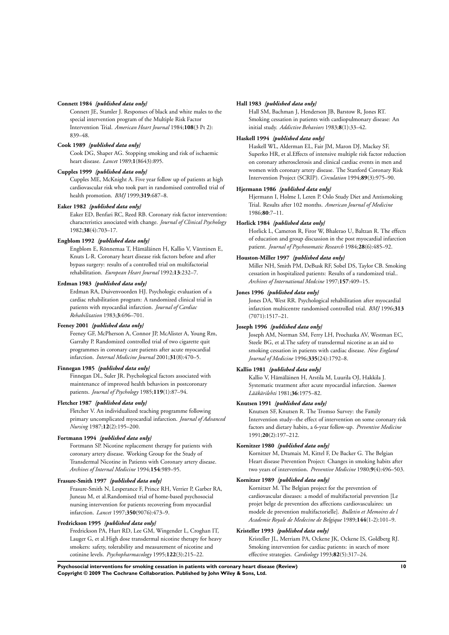#### **Connett 1984** *{published data only}*

Connett JE, Stamler J. Responses of black and white males to the special intervention program of the Multiple Risk Factor Intervention Trial. *American Heart Journal* 1984;**108**(3 Pt 2): 839–48.

### **Cook 1989** *{published data only}*

Cook DG, Shaper AG. Stopping smoking and risk of ischaemic heart disease. *Lancet* 1989;**1**(8643):895.

#### **Cupples 1999** *{published data only}*

Cupples ME, McKnight A. Five year follow up of patients at high cardiovascular risk who took part in randomised controlled trial of health promotion. *BMJ* 1999;**319**:687–8.

#### **Eaker 1982** *{published data only}*

Eaker ED, Benfari RC, Reed RB. Coronary risk factor intervention: characteristics associated with change. *Journal of Clinical Psychology* 1982;**38**(4):703–17.

#### **Engblom 1992** *{published data only}*

Engblom E, Rönnemaa T, Hämäläinen H, Kallio V, Vänttinen E, Knuts L-R. Coronary heart disease risk factors before and after bypass surgery: results of a controlled trial on multifactorial rehabilitation. *European Heart Journal* 1992;**13**:232–7.

#### **Erdman 1983** *{published data only}*

Erdman RA, Duivenvoorden HJ. Psychologic evaluation of a cardiac rehabilitation program: A randomized clinical trial in patients with myocardial infarction. *Journal of Cardiac Rehabilitation* 1983;**3**:696–701.

#### **Feeney 2001** *{published data only}*

Feeney GF, McPherson A, Connor JP, McAlister A, Young Rm, Garrahy P. Randomized controlled trial of two cigarette quit programmes in coronary care patients after acute myocardial infarction. *Internal Medicine Journal* 2001;**31**(8):470–5.

#### **Finnegan 1985** *{published data only}*

Finnegan DL, Suler JR. Psychological factors associated with maintenance of improved health behaviors in postcoronary patients. *Journal of Psychology* 1985;**119**(1):87–94.

#### **Fletcher 1987** *{published data only}*

Fletcher V. An individualized teaching programme following primary uncomplicated myocardial infarction. *Journal of Advanced Nursing* 1987;**12**(2):195–200.

#### **Fortmann 1994** *{published data only}*

Fortmann SP. Nicotine replacement therapy for patients with coronary artery disease. Working Group for the Study of Transdermal Nicotine in Patients with Coronary artery disease. *Archives of Internal Medicine* 1994;**154**:989–95.

#### **Frasure-Smith 1997** *{published data only}*

Frasure-Smith N, Lesperance F, Prince RH, Verrier P, Garber RA, Juneau M, et al.Randomised trial of home-based psychosocial nursing intervention for patients recovering from myocardial infarction. *Lancet* 1997;**350**(9076):473–9.

### **Fredrickson 1995** *{published data only}*

Fredrickson PA, Hurt RD, Lee GM, Wingender L, Croghan IT, Lauger G, et al.High dose transdermal nicotine therapy for heavy smokers: safety, tolerability and measurement of nicotine and cotinine levels. *Psychopharmacology* 1995;**122**(3):215–22.

#### **Hall 1983** *{published data only}*

Hall SM, Bachman J, Henderson JB, Barstow R, Jones RT. Smoking cessation in patients with cardiopulmonary disease: An initial study. *Addictive Behaviors* 1983;**8**(1):33–42.

#### **Haskell 1994** *{published data only}*

Haskell WL, Alderman EL, Fair JM, Maron DJ, Mackey SF, Superko HR, et al.Effects of intensive multiple risk factor reduction on coronary atherosclerosis and clinical cardiac events in men and women with coronary artery disease. The Stanford Coronary Risk Intervention Project (SCRIP). *Circulation* 1994;**89**(3):975–90.

### **Hjermann 1986** *{published data only}*

Hjermann I, Holme I, Leren P. Oslo Study Diet and Antismoking Trial. Results after 102 months. *American Journal of Medicine* 1986;**80**:7–11.

#### **Horlick 1984** *{published data only}*

Horlick L, Cameron R, Firor W, Bhalerao U, Baltzan R. The effects of education and group discussion in the post myocardial infarction patient. *Journal of Psychosomatic Research* 1984;**28**(6):485–92.

#### **Houston-Miller 1997** *{published data only}*

Miller NH, Smith PM, DeBusk RF, Sobel DS, Taylor CB. Smoking cessation in hospitalized patients: Results of a randomized trial.. *Archives of International Medcine* 1997;**157**:409–15.

### **Jones 1996** *{published data only}*

Jones DA, West RR. Psychological rehabilitation after myocardial infarction multicentre randomised controlled trial. *BMJ* 1996;**313** (7071):1517–21.

### **Joseph 1996** *{published data only}*

Joseph AM, Norman SM, Ferry LH, Prochazka AV, Westman EC, Steele BG, et al.The safety of transdermal nicotine as an aid to smoking cessation in patients with cardiac disease. *New England Journal of Medicine* 1996;**335**(24):1792–8.

#### **Kallio 1981** *{published data only}*

Kallio V, Hämäläinen H, Arstila M, Luurila OJ, Hakkila J. Systematic treatment after acute myocardial infarction. *Suomen Lääkärilehti* 1981;**36**:1975–82.

#### **Knutsen 1991** *{published data only}*

Knutsen SF, Knutsen R. The Tromso Survey: the Family Intervention study--the effect of intervention on some coronary risk factors and dietary habits, a 6-year follow-up. *Preventive Medicine* 1991;**20**(2):197–212.

#### **Kornitzer 1980** *{published data only}*

Kornitzer M, Dramaix M, Kittel F, De Backer G. The Belgian Heart disease Prevention Project: Changes in smoking habits after two years of intervention. *Preventive Medicine* 1980;**9**(4):496–503.

#### **Kornitzer 1989** *{published data only}*

Kornitzer M. The Belgian project for the prevention of cardiovascular diseases: a model of multifactorial prevention [Le projet belge de prevention des affections cardiovasculaires: un modele de prevention multifactorielle]. *Bulletin et Memoires de l Academie Royale de Medecine de Belgique* 1989;**144**(1-2):101–9.

#### **Kristeller 1993** *{published data only}*

Kristeller JL, Merriam PA, Ockene JK, Ockene IS, Goldberg RJ. Smoking intervention for cardiac patients: in search of more effective strategies. *Cardiology* 1993;**82**(5):317–24.

**Psychosocial interventions for smoking cessation in patients with coronary heart disease (Review) 10 Copyright © 2009 The Cochrane Collaboration. Published by John Wiley & Sons, Ltd.**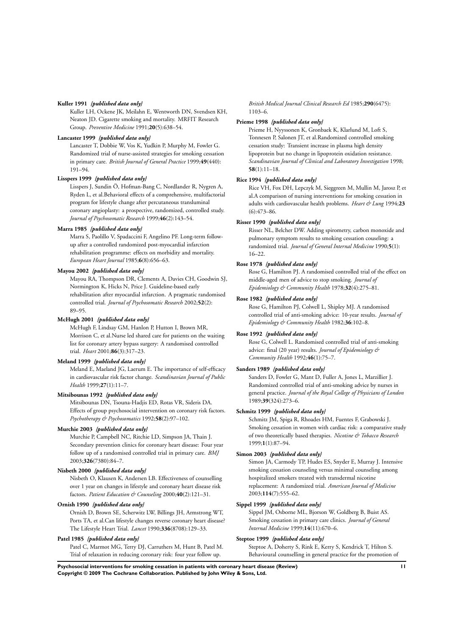#### **Kuller 1991** *{published data only}*

Kuller LH, Ockene JK, Meilahn E, Wentworth DN, Svendsen KH, Neaton JD. Cigarette smoking and mortality. MRFIT Research Group. *Preventive Medicine* 1991;**20**(5):638–54.

#### **Lancaster 1999** *{published data only}*

Lancaster T, Dobbie W, Vos K, Yudkin P, Murphy M, Fowler G. Randomized trial of nurse-assisted strategies for smoking cessation in primary care. *British Journal of General Practice* 1999;**49**(440): 191–94.

#### **Lisspers 1999** *{published data only}*

Lisspers J, Sundin Ö, Hofman-Bang C, Nordlander R, Nygren A, Ryden L, et al.Behavioral effects of a comprehensive, multifactorial program for lifestyle change after percutaneous transluminal coronary angioplasty: a prospective, randomized, controlled study. *Journal of Psychosomatic Research* 1999;**46**(2):143–54.

#### **Marra 1985** *{published data only}*

Marra S, Paolillo V, Spadaccini F, Angelino PF. Long-term followup after a controlled randomized post-myocardial infarction rehabilitation programme: effects on morbidity and mortality. *European Heart Journal* 1985;**6**(8):656–63.

#### **Mayou 2002** *{published data only}*

Mayou RA, Thompson DR, Clements A, Davies CH, Goodwin SJ, Normington K, Hicks N, Price J. Guideline-based early rehabilitation after myocardial infarction. A pragmatic randomised controlled trial. *Journal of Psychosomatic Research* 2002;**52**(2): 89–95.

#### **McHugh 2001** *{published data only}*

McHugh F, Lindsay GM, Hanlon P, Hutton I, Brown MR, Morrison C, et al.Nurse led shared care for patients on the waiting list for coronary artery bypass surgery: A randomised controlled trial. *Heart* 2001;**86**(3):317–23.

#### **Meland 1999** *{published data only}*

Meland E, Maeland JG, Laerum E. The importance of self-efficacy in cardiovascular risk factor change. *Scandinavian Journal of Public Health* 1999;**27**(1):11–7.

#### **Mitsibounas 1992** *{published data only}*

Mitsibounas DN, Tsouna-Hadjis ED, Rotas VR, Sideris DA. Effects of group psychosocial intervention on coronary risk factors. *Psychotherapy & Psychosomatics* 1992;**58**(2):97–102.

#### **Murchie 2003** *{published data only}*

Murchie P, Campbell NC, Ritchie LD, Simpson JA, Thain J. Secondary prevention clinics for coronary heart disease: Four year follow up of a randomised controlled trial in primary care. *BMJ* 2003;**326**(7380):84–7.

### **Nisbeth 2000** *{published data only}*

Nisbeth O, Klausen K, Andersen LB. Effectiveness of counselling over 1 year on changes in lifestyle and coronary heart disease risk factors. *Patient Education & Counseling* 2000;**40**(2):121–31.

#### **Ornish 1990** *{published data only}*

Ornish D, Brown SE, Scherwitz LW, Billings JH, Armstrong WT, Ports TA, et al.Can lifestyle changes reverse coronary heart disease? The Lifestyle Heart Trial. *Lancet* 1990;**336**(8708):129–33.

#### **Patel 1985** *{published data only}*

Patel C, Marmot MG, Terry DJ, Carruthers M, Hunt B, Patel M. Trial of relaxation in reducing coronary risk: four year follow up.

*British Medical Journal Clinical Research Ed* 1985;**290**(6475): 1103–6.

#### **Prieme 1998** *{published data only}*

Prieme H, Nyyssonen K, Gronbaek K, Klarlund M, Loft S, Tonnesen P, Salonen JT, et al.Randomized controlled smoking cessation study: Transient increase in plasma high density lipoprotein but no change in lipoprotein oxidation resistance. *Scandinavian Journal of Clinical and Laboratory Investigation* 1998; **58**(1):11–18.

#### **Rice 1994** *{published data only}*

Rice VH, Fox DH, Lepczyk M, Sieggreen M, Mullin M, Jarosz P, et al.A comparison of nursing interventions for smoking cessation in adults with cardiovascular health problems. *Heart & Lung* 1994;**23** (6):473–86.

#### **Risser 1990** *{published data only}*

Risser NL, Belcher DW. Adding spirometry, carbon monoxide and pulmonary symptom results to smoking cessation couseling: a randomized trial. *Journal of General Internal Medicine* 1990;**5**(1): 16–22.

#### **Rose 1978** *{published data only}*

Rose G, Hamilton PJ. A randomised controlled trial of the effect on middle-aged men of advice to stop smoking. *Journal of Epidemiology & Community Health* 1978;**32**(4):275–81.

#### **Rose 1982** *{published data only}*

Rose G, Hamilton PJ, Colwell L, Shipley MJ. A randomised controlled trial of anti-smoking advice: 10-year results. *Journal of Epidemiology & Community Health* 1982;**36**:102–8.

#### **Rose 1992** *{published data only}*

Rose G, Colwell L. Randomised controlled trial of anti-smoking advice: final (20 year) results. *Journal of Epidemiology & Community Health* 1992;**46**(1):75–7.

#### **Sanders 1989** *{published data only}*

Sanders D, Fowler G, Mant D, Fuller A, Jones L, Marzillier J. Randomized controlled trial of anti-smoking advice by nurses in general practice. *Journal of the Royal College of Physicians of London* 1989;**39**(324):273–6.

#### **Schmitz 1999** *{published data only}*

Schmitz JM, Spiga R, Rhoades HM, Fuentes F, Grabowski J. Smoking cessation in women with cardiac risk: a comparative study of two theoretically based therapies. *Nicotine & Tobacco Research* 1999;**1**(1):87–94.

#### **Simon 2003** *{published data only}*

Simon JA, Carmody TP, Hudes ES, Snyder E, Murray J. Intensive smoking cessation counseling versus minimal counseling among hospitalized smokers treated with transdermal nicotine replacement: A randomized trial. *American Journal of Medicine* 2003;**114**(7):555–62.

### **Sippel 1999** *{published data only}*

Sippel JM, Osborne ML, Bjorson W, Goldberg B, Buist AS. Smoking cessation in primary care clinics. *Journal of General Internal Medicine* 1999;**14**(11):670–6.

#### **Steptoe 1999** *{published data only}*

Steptoe A, Doherty S, Rink E, Kerry S, Kendrick T, Hilton S. Behavioural counselling in general practice for the promotion of

**Psychosocial interventions for smoking cessation in patients with coronary heart disease (Review) 11 Copyright © 2009 The Cochrane Collaboration. Published by John Wiley & Sons, Ltd.**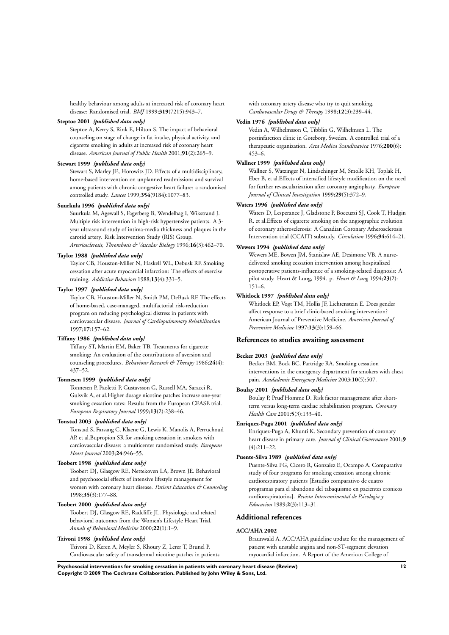healthy behaviour among adults at increased risk of coronary heart disease: Randomised trial. *BMJ* 1999;**319**(7215):943–7.

#### **Steptoe 2001** *{published data only}*

Steptoe A, Kerry S, Rink E, Hilton S. The impact of behavioral counseling on stage of change in fat intake, physical activity, and cigarette smoking in adults at increased risk of coronary heart disease. *American Journal of Public Health* 2001;**91**(2):265–9.

#### **Stewart 1999** *{published data only}*

Stewart S, Marley JE, Horowitz JD. Effects of a multidisciplinary, home-based intervention on unplanned readmissions and survival among patients with chronic congestive heart failure: a randomised controlled study. *Lancet* 1999;**354**(9184):1077–83.

#### **Suurkula 1996** *{published data only}*

Suurkula M, Agewall S, Fagerberg B, Wendelhag I, Wikstrand J. Multiple risk intervention in high-risk hypertensive patients. A 3 year ultrasound study of intima-media thickness and plaques in the carotid artery. Risk Intervention Study (RIS) Group. *Arteriosclerosis, Thrombosis & Vascular Biology* 1996;**16**(3):462–70.

#### **Taylor 1988** *{published data only}*

Taylor CB, Houston-Miller N, Haskell WL, Debusk RF. Smoking cessation after acute myocardial infarction: The effects of exercise training. *Addictive Behaviors* 1988;**13**(4):331–5.

#### **Taylor 1997** *{published data only}*

Taylor CB, Houston-Miller N, Smith PM, DeBusk RF. The effects of home-based, case-managed, multifactorial risk-reduction program on reducing psychological distress in patients with cardiovascular disease. *Journal of Cardiopulmonary Rehabilitation* 1997;**17**:157–62.

#### **Tiffany 1986** *{published data only}*

Tiffany ST, Martin EM, Baker TB. Treatments for cigarette smoking: An evaluation of the contributions of aversion and counseling procedures. *Behaviour Research & Therapy* 1986;**24**(4): 437–52.

#### **Tonnesen 1999** *{published data only}*

Tonnesen P, Paoletti P, Gustavsson G, Russell MA, Saracci R, Gulsvik A, et al.Higher dosage nicotine patches increase one-year smoking cessation rates: Results from the European CEASE trial. *European Respiratory Journal* 1999;**13**(2):238–46.

#### **Tonstad 2003** *{published data only}*

Tonstad S, Farsang C, Klaene G, Lewis K, Manolis A, Perruchoud AP, et al.Bupropion SR for smoking cessation in smokers with cardiovascular disease: a multicenter randomised study. *European Heart Journal* 2003;**24**:946–55.

#### **Toobert 1998** *{published data only}*

Toobert DJ, Glasgow RE, Nettekoven LA, Brown JE. Behavioral and psychosocial effects of intensive lifestyle management for women with coronary heart disease. *Patient Education & Counseling* 1998;**35**(3):177–88.

#### **Toobert 2000** *{published data only}*

Toobert DJ, Glasgow RE, Radcliffe JL. Physiologic and related behavioral outcomes from the Women's Lifestyle Heart Trial. *Annals of Behavioral Medicine* 2000;**22**(1):1–9.

#### **Tzivoni 1998** *{published data only}*

Tzivoni D, Keren A, Meyler S, Khoury Z, Lerer T, Brunel P. Cardiovascular safety of transdermal nicotine patches in patients with coronary artery disease who try to quit smoking. *Cardiovascular Drugs & Therapy* 1998;**12**(3):239–44.

### **Vedin 1976** *{published data only}*

Vedin A, Wilhelmsson C, Tibblin G, Wilhelmsen L. The postinfarction clinic in Goteborg, Sweden. A controlled trial of a therapeutic organization. *Acta Medica Scandinavica* 1976;**200**(6): 453–6.

### **Wallner 1999** *{published data only}*

Wallner S, Watzinger N, Lindschinger M, Smolle KH, Toplak H, Eber B, et al.Effects of intensified lifestyle modification on the need for further revascularization after coronary angioplasty. *European Journal of Clinical Investigation* 1999;**29**(5):372–9.

#### **Waters 1996** *{published data only}*

Waters D, Lesperance J, Gladstone P, Boccuzzi SJ, Cook T, Hudgin R, et al.Effects of cigarette smoking on the angiographic evolution of coronary atherosclerosis: A Canadian Coronary Atherosclerosis Intervention trial (CCAIT) substudy. *Circulation* 1996;**94**:614–21.

#### **Wewers 1994** *{published data only}*

Wewers ME, Bowen JM, Stanislaw AE, Desimone VB. A nursedelivered smoking cessation intervention among hospitalized postoperative patients-influence of a smoking-related diagnosis: A pilot study. Heart & Lung, 1994. p. *Heart & Lung* 1994;**23**(2): 151–6.

#### **Whitlock 1997** *{published data only}*

Whitlock EP, Vogt TM, Hollis JF, Lichtenstein E. Does gender affect response to a brief clinic-based smoking intervention? American Journal of Preventive Medicine. *American Journal of Preventive Medicine* 1997;**13**(3):159–66.

#### **References to studies awaiting assessment**

#### **Becker 2003** *{published data only}*

Becker BM, Bock BC, Partridge RA. Smoking cessation interventions in the emergency department for smokers with chest pain. *Acadademic Emergency Medicine* 2003;**10**(5):507.

#### **Boulay 2001** *{published data only}*

Boulay P, Prud'Homme D. Risk factor management after shortterm versus long-term cardiac rehabilitation program. *Coronary Health Care* 2001;**5**(3):133–40.

#### **Enriquez-Puga 2001** *{published data only}*

Enriquez-Puga A, Khunti K. Secondary prevention of coronary heart disease in primary care. *Journal of Clinical Governance* 2001;**9**  $(4) \cdot 211 - 22$ .

#### **Puente-Silva 1989** *{published data only}*

Puente-Silva FG, Cicero R, Gonzalez E, Ocampo A. Comparative study of four programs for smoking cessation among chronic cardiorespiratory patients [Estudio comparativo de cuatro programas para el abandono del tabaquismo en pacientes cronicos cardiorespiratorios]. *Revista Intercontinental de Psicologia y Educacion* 1989;**2**(3):113–31.

#### **Additional references**

#### **ACC/AHA 2002**

Braunwald A. ACC/AHA guideline update for the management of patient with unstable angina and non-ST-segment elevation myocardial infarction. A Report of the American College of

**Psychosocial interventions for smoking cessation in patients with coronary heart disease (Review) 12 Copyright © 2009 The Cochrane Collaboration. Published by John Wiley & Sons, Ltd.**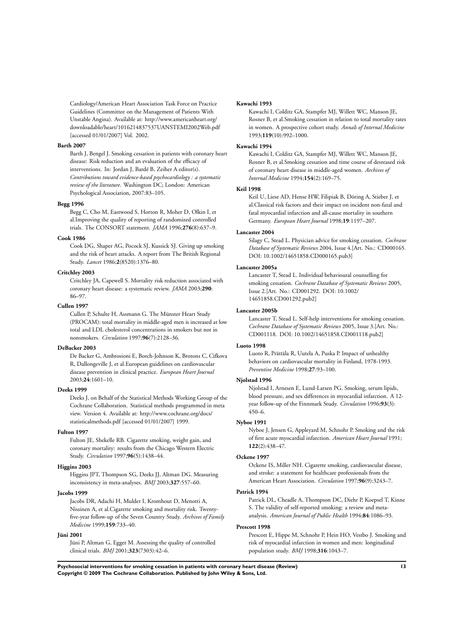Cardiology/American Heart Association Task Force on Practice Guidelines (Committee on the Management of Patients With Unstable Angina). Available at: http://www.americanheart.org/ downloadable/heart/1016214837537UANSTEMI2002Web.pdf [accessed 01/01/2007] Vol. 2002.

#### **Barth 2007**

Barth J, Bengel J. Smoking cessation in patients with coronary heart disease: Risk reduction and an evaluation of the efficacy of interventions. In: Jordan J, Bardé B, Zeiher A editor(s). *Contributions toward evidence-based psychocardiology : a systematic review of the literature*. Washington DC; London: American Psychological Association, 2007:83–105.

### **Begg 1996**

Begg C, Cho M, Eastwood S, Horton R, Moher D, Olkin I, et al.Improving the quality of reporting of randomized controlled trials. The CONSORT statement. *JAMA* 1996;**276**(8):637–9.

#### **Cook 1986**

Cook DG, Shaper AG, Pocock SJ, Kussick SJ. Giving up smoking and the risk of heart attacks. A report from The British Regional Study. *Lancet* 1986;**2**(8520):1376–80.

#### **Critchley 2003**

Critchley JA, Capewell S. Mortality risk reduction associated with coronary heart disease: a systematic review. *JAMA* 2003;**290**: 86–97.

#### **Cullen 1997**

Cullen P, Schulte H, Assmann G. The Münster Heart Study (PROCAM): total mortality in middle-aged men is increased at low total and LDL cholesterol concentrations in smokers but not in nonsmokers. *Circulation* 1997;**96**(7):2128–36.

#### **DeBacker 2003**

De Backer G, Ambrosioni E, Borch-Johnson K, Brotons C, Cifkova R, Dallongeville J, et al.European guidelines on cardiovascular disease prevention in clinical practice. *European Heart Journal* 2003;**24**:1601–10.

#### **Deeks 1999**

Deeks J, on Behalf of the Statistical Methods Working Group of the Cochrane Collaboration. Statistical methods programmed in meta view. Version 4. Available at: http://www.cochrane.org/docs/ statisticalmethods.pdf [accessed 01/01/2007] 1999.

#### **Fulton 1997**

Fulton JE, Shekelle RB. Cigarette smoking, weight gain, and coronary mortality: results from the Chicago Western Electric Study. *Circulation* 1997;**96**(5):1438–44.

### **Higgins 2003**

Higgins JPT, Thompson SG, Deeks JJ, Altman DG. Measuring inconsistency in meta-analyses. *BMJ* 2003;**327**:557–60.

#### **Jacobs 1999**

Jacobs DR, Adachi H, Mulder I, Kromhout D, Menotti A, Nissinen A, et al.Cigarette smoking and mortality risk. Twentyfive-year follow-up of the Seven Country Study. *Archives of Family Medicine* 1999;**159**:733–40.

#### **Jüni 2001**

Jüni P, Altman G, Egger M. Assessing the quality of controlled clinical trials. *BMJ* 2001;**323**(7303):42–6.

#### **Kawachi 1993**

Kawachi I, Colditz GA, Stampfer MJ, Willett WC, Manson JE, Rosner B, et al.Smoking cessation in relation to total mortality rates in women. A prospective cohort study. *Annals of Internal Medicine* 1993;**119**(10):992–1000.

#### **Kawachi 1994**

Kawachi I, Colditz GA, Stampfer MJ, Willett WC, Manson JE, Rosner B, et al.Smoking cessation and time course of desreased risk of coronary heart disease in middle-aged women. *Archives of Internal Medicine* 1994;**154**(2):169–75.

#### **Keil 1998**

Keil U, Liese AD, Hense HW, Filipiak B, Döring A, Stieber J, et al.Classical risk factors and their impact on incident non-fatal and fatal myocardial infarction and all-cause mortality in southern Germany. *European Heart Journal* 1998;**19**:1197–207.

#### **Lancaster 2004**

Silagy C, Stead L. Physician advice for smoking cessation. *Cochrane Database of Systematic Reviews* 2004, Issue 4.[Art. No.: CD000165. DOI: 10.1002/14651858.CD000165.pub3]

#### **Lancaster 2005a**

Lancaster T, Stead L. Individual behavioural counselling for smoking cessation. *Cochrane Database of Systematic Reviews* 2005, Issue 2.[Art. No.: CD001292. DOI: 10.1002/ 14651858.CD001292.pub2]

#### **Lancaster 2005b**

Lancaster T, Stead L. Self-help interventions for smoking cessation. *Cochrane Database of Systematic Reviews* 2005, Issue 3.[Art. No.: CD001118. DOI: 10.1002/14651858.CD001118.pub2]

#### **Luoto 1998**

Luoto R, Prättäla R, Uutela A, Puska P. Impact of unhealthy behaviors on cardiovascular mortality in Finland, 1978-1993. *Preventive Medicine* 1998;**27**:93–100.

#### **Njolstad 1996**

Njolstad I, Arnesen E, Lund-Larsen PG. Smoking, serum lipids, blood pressure, and sex differences in myocardial infarction. A 12 year follow-up of the Finnmark Study. *Circulation* 1996;**93**(3): 450–6.

#### **Nyboe 1991**

Nyboe J, Jensen G, Appleyard M, Schnohr P. Smoking and the risk of first acute myocardial infarction. *American Heart Journal* 1991; **122**(2):438–47.

#### **Ockene 1997**

Ockene IS, Miller NH. Cigarette smoking, cardiovascular disease, and stroke: a statement for healthcare professionals from the American Heart Association. *Circulation* 1997;**96**(9):3243–7.

#### **Patrick 1994**

Patrick DL, Cheadle A, Thompson DC, Diehr P, Koepsel T, Kinne S. The validity of self-reported smoking: a review and metaanalysis. *American Journal of Public Health* 1994;**84**:1086–93.

#### **Prescott 1998**

Prescott E, Hippe M, Schnohr P, Hein HO, Vestbo J. Smoking and risk of myocardial infarction in women and men: longitudinal population study. *BMJ* 1998;**316**:1043–7.

**Psychosocial interventions for smoking cessation in patients with coronary heart disease (Review) 13 Copyright © 2009 The Cochrane Collaboration. Published by John Wiley & Sons, Ltd.**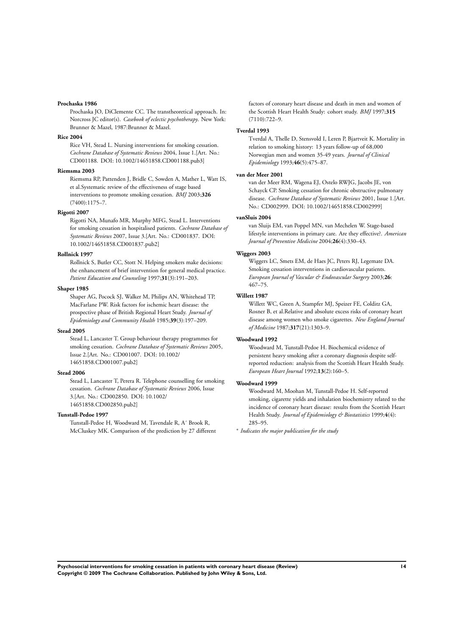#### **Prochaska 1986**

Prochaska JO, DiClemente CC. The transtheoretical approach. In: Norcross JC editor(s). *Casebook of eclectic psychotherapy*. New York: Brunner & Mazel, 1987:Brunner & Mazel.

#### **Rice 2004**

Rice VH, Stead L. Nursing interventions for smoking cessation. *Cochrane Database of Systematic Reviews* 2004, Issue 1.[Art. No.: CD001188. DOI: 10.1002/14651858.CD001188.pub3]

#### **Riemsma 2003**

Riemsma RP, Pattenden J, Bridle C, Sowden A, Mather L, Watt IS, et al.Systematic review of the effectiveness of stage based interventions to promote smoking cessation. *BMJ* 2003;**326** (7400):1175–7.

### **Rigotti 2007**

Rigotti NA, Munafo MR, Murphy MFG, Stead L. Interventions for smoking cessation in hospitalised patients. *Cochrane Database of Systematic Reviews* 2007, Issue 3.[Art. No.: CD001837. DOI: 10.1002/14651858.CD001837.pub2]

#### **Rollnick 1997**

Rollnick S, Butler CC, Stott N. Helping smokers make decisions: the enhancement of brief intervention for general medical practice. *Patient Education and Counseling* 1997;**31**(3):191–203.

### **Shaper 1985**

Shaper AG, Pocock SJ, Walker M, Philips AN, Whitehead TP, MacFarlane PW. Risk factors for ischemic heart disease: the prospective phase of British Regional Heart Study. *Journal of Epidemiology and Community Health* 1985;**39**(3):197–209.

#### **Stead 2005**

Stead L, Lancaster T. Group behaviour therapy programmes for smoking cessation. *Cochrane Database of Systematic Reviews* 2005, Issue 2.[Art. No.: CD001007. DOI: 10.1002/ 14651858.CD001007.pub2]

#### **Stead 2006**

Stead L, Lancaster T, Perera R. Telephone counselling for smoking cessation. *Cochrane Database of Systematic Reviews* 2006, Issue 3.[Art. No.: CD002850. DOI: 10.1002/ 14651858.CD002850.pub2]

#### **Tunstall-Pedoe 1997**

Tunstall-Pedoe H, Woodward M, Tavendale R, A´ Brook R, McCluskey MK. Comparison of the prediction by 27 different factors of coronary heart disease and death in men and women of the Scottish Heart Health Study: cohort study. *BMJ* 1997;**315** (7110):722–9.

#### **Tverdal 1993**

Tverdal A, Thelle D, Stensvold I, Leren P, Bjartveit K. Mortality in relation to smoking history: 13 years follow-up of 68,000 Norwegian men and women 35-49 years. *Journal of Clinical Epidemiology* 1993;**46**(5):475–87.

#### **van der Meer 2001**

van der Meer RM, Wagena EJ, Ostelo RWJG, Jacobs JE, von Schayck CP. Smoking cessation for chronic obstructive pulmonary disease. *Cochrane Database of Systematic Reviews* 2001, Issue 1.[Art. No.: CD002999. DOI: 10.1002/14651858.CD002999]

#### **vanSluis 2004**

van Sluijs EM, van Poppel MN, van Mechelen W. Stage-based lifestyle interventions in primary care. Are they effective?. *American Journal of Preventive Medicine* 2004;**26**(4):330–43.

#### **Wiggers 2003**

Wiggers LC, Smets EM, de Haes JC, Peters RJ, Legemate DA. Smoking cessation interventions in cardiovascular patients. *European Journal of Vascular & Endovascular Surgery* 2003;**26**: 467–75.

#### **Willett 1987**

Willett WC, Green A, Stampfer MJ, Speizer FE, Colditz GA, Rosner B, et al.Relative and absolute excess risks of coronary heart disease among women who smoke cigarettes. *New England Journal of Medicine* 1987;**317**(21):1303–9.

#### **Woodward 1992**

Woodward M, Tunstall-Pedoe H. Biochemical evidence of persistent heavy smoking after a coronary diagnosis despite selfreported reduction: analysis from the Scottish Heart Health Study. *European Heart Journal* 1992;**13**(2):160–5.

#### **Woodward 1999**

Woodward M, Moohan M, Tunstall-Pedoe H. Self-reported smoking, cigarette yields and inhalation biochemistry related to the incidence of coronary heart disease: results from the Scottish Heart Health Study. *Journal of Epidemiology & Biostatistics* 1999;**4**(4): 285–95.

∗ *Indicates the major publication for the study*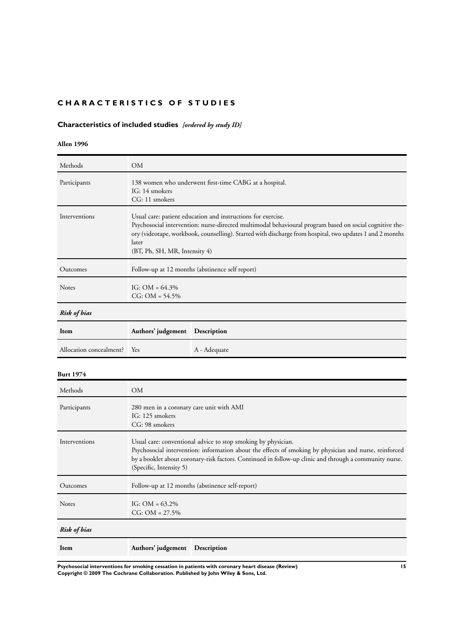### <span id="page-16-0"></span>**CHARACTERISTICS OF STUDIES**

## **Characteristics of included studies** *[ordered by study ID]*

**Allen 1996**

| Methods                 | OМ                                                                                                                                                                                                                                                                                                                            |                                                 |  |
|-------------------------|-------------------------------------------------------------------------------------------------------------------------------------------------------------------------------------------------------------------------------------------------------------------------------------------------------------------------------|-------------------------------------------------|--|
| Participants            | 138 women who underwent first-time CABG at a hospital.<br>IG: 14 smokers<br>CG: 11 smokers                                                                                                                                                                                                                                    |                                                 |  |
| Interventions           | Usual care: patient education and instructions for exercise.<br>Psychosocial intervention: nurse-directed multimodal behavioural program based on social cognitive the-<br>ory (videotape, workbook, counselling). Started with discharge from hospital, two updates 1 and 2 months<br>later<br>(BT, Ph, SH, MR, Intensity 4) |                                                 |  |
| Outcomes                |                                                                                                                                                                                                                                                                                                                               | Follow-up at 12 months (abstinence self report) |  |
| <b>Notes</b>            | IG: $OM = 64.3\%$<br>$CG: OM = 54.5\%$                                                                                                                                                                                                                                                                                        |                                                 |  |
| <b>Risk of bias</b>     |                                                                                                                                                                                                                                                                                                                               |                                                 |  |
| Item                    | Authors' judgement                                                                                                                                                                                                                                                                                                            | Description                                     |  |
| Allocation concealment? | Yes                                                                                                                                                                                                                                                                                                                           | A - Adequate                                    |  |
| <b>Burt 1974</b>        |                                                                                                                                                                                                                                                                                                                               |                                                 |  |
| Methods                 | <b>OM</b>                                                                                                                                                                                                                                                                                                                     |                                                 |  |
| Participants            | 280 men in a coronary care unit with AMI<br>IG: 125 smokers<br>CG: 98 smokers                                                                                                                                                                                                                                                 |                                                 |  |
| Interventions           | Usual care: conventional advice to stop smoking by physician.<br>Psychosocial intervention: information about the effects of smoking by physician and nurse, reinforced<br>by a booklet about coronary-risk factors. Continued in follow-up clinic and through a community nurse.<br>(Specific, Intensity 5)                  |                                                 |  |
| Outcomes                | Follow-up at 12 months (abstinence self-report)                                                                                                                                                                                                                                                                               |                                                 |  |
| Notes                   | IG: $OM = 63.2\%$<br>$CG: OM = 27.5\%$                                                                                                                                                                                                                                                                                        |                                                 |  |
| <b>Risk of bias</b>     |                                                                                                                                                                                                                                                                                                                               |                                                 |  |
| Item                    | Authors' judgement                                                                                                                                                                                                                                                                                                            | <b>Description</b>                              |  |

**Psychosocial interventions for smoking cessation in patients with coronary heart disease (Review) 15 Copyright © 2009 The Cochrane Collaboration. Published by John Wiley & Sons, Ltd.**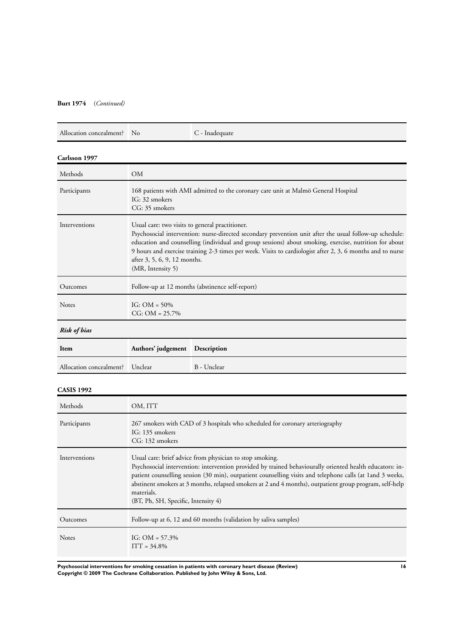### **Burt 1974** (*Continued)*

| Allocation concealment? | <b>No</b>                                                                                                                                                                                                                                                                                                                                                                                                                               | C - Inadequate |  |
|-------------------------|-----------------------------------------------------------------------------------------------------------------------------------------------------------------------------------------------------------------------------------------------------------------------------------------------------------------------------------------------------------------------------------------------------------------------------------------|----------------|--|
| Carlsson 1997           |                                                                                                                                                                                                                                                                                                                                                                                                                                         |                |  |
| Methods                 | <b>OM</b>                                                                                                                                                                                                                                                                                                                                                                                                                               |                |  |
| Participants            | 168 patients with AMI admitted to the coronary care unit at Malmö General Hospital<br>IG: 32 smokers<br>CG: 35 smokers                                                                                                                                                                                                                                                                                                                  |                |  |
| Interventions           | Usual care: two visits to general practitioner.<br>Psychosocial intervention: nurse-directed secondary prevention unit after the usual follow-up schedule:<br>education and counselling (individual and group sessions) about smoking, exercise, nutrition for about<br>9 hours and exercise training 2-3 times per week. Visits to cardiologist after 2, 3, 6 months and to nurse<br>after 3, 5, 6, 9, 12 months.<br>(MR, Intensity 5) |                |  |
| Outcomes                | Follow-up at 12 months (abstinence self-report)                                                                                                                                                                                                                                                                                                                                                                                         |                |  |
| <b>Notes</b>            | IG: $OM = 50\%$<br>$CG: OM = 25.7\%$                                                                                                                                                                                                                                                                                                                                                                                                    |                |  |
| <b>Risk of bias</b>     |                                                                                                                                                                                                                                                                                                                                                                                                                                         |                |  |
| Item                    | Authors' judgement                                                                                                                                                                                                                                                                                                                                                                                                                      | Description    |  |
| Allocation concealment? | Unclear                                                                                                                                                                                                                                                                                                                                                                                                                                 | B - Unclear    |  |
| <b>CASIS 1992</b>       |                                                                                                                                                                                                                                                                                                                                                                                                                                         |                |  |
| Methods                 | OM, ITT                                                                                                                                                                                                                                                                                                                                                                                                                                 |                |  |

| Participants  | 267 smokers with CAD of 3 hospitals who scheduled for coronary arteriography<br>IG: 135 smokers<br>CG: 132 smokers                                                                                                                                                                                                                                                                                                                                 |
|---------------|----------------------------------------------------------------------------------------------------------------------------------------------------------------------------------------------------------------------------------------------------------------------------------------------------------------------------------------------------------------------------------------------------------------------------------------------------|
| Interventions | Usual care: brief advice from physician to stop smoking.<br>Psychosocial intervention: intervention provided by trained behaviourally oriented health educators: in-<br>patient counselling session (30 min), outpatient counselling visits and telephone calls (at 1 and 3 weeks,<br>abstinent smokers at 3 months, relapsed smokers at 2 and 4 months), outpatient group program, self-help<br>materials.<br>(BT, Ph, SH, Specific, Intensity 4) |
| Outcomes      | Follow-up at 6, 12 and 60 months (validation by saliva samples)                                                                                                                                                                                                                                                                                                                                                                                    |
| <b>Notes</b>  | IG: $OM = 57.3\%$<br>$ITT = 34.8\%$                                                                                                                                                                                                                                                                                                                                                                                                                |

**Psychosocial interventions for smoking cessation in patients with coronary heart disease (Review) 16 Copyright © 2009 The Cochrane Collaboration. Published by John Wiley & Sons, Ltd.**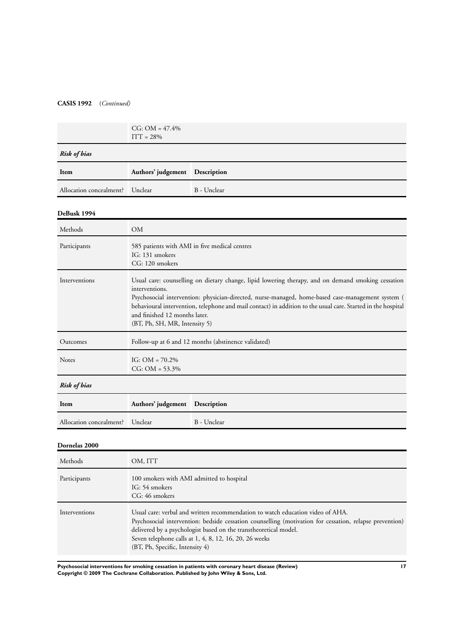### **CASIS 1992** (*Continued)*

|                                 | $CG: OM = 47.4\%$<br>$ITT = 28\%$ |             |
|---------------------------------|-----------------------------------|-------------|
| <b>Risk of bias</b>             |                                   |             |
| Item                            | Authors' judgement Description    |             |
| Allocation concealment? Unclear |                                   | B - Unclear |

### **DeBusk 1994**

| Methods                 | <b>OM</b>                                                                           |                                                                                                                                                                                                                                                                                                                         |
|-------------------------|-------------------------------------------------------------------------------------|-------------------------------------------------------------------------------------------------------------------------------------------------------------------------------------------------------------------------------------------------------------------------------------------------------------------------|
| Participants            | 585 patients with AMI in five medical centres<br>IG: 131 smokers<br>CG: 120 smokers |                                                                                                                                                                                                                                                                                                                         |
| Interventions           | interventions.<br>and finished 12 months later.<br>(BT, Ph, SH, MR, Intensity 5)    | Usual care: counselling on dietary change, lipid lowering therapy, and on demand smoking cessation<br>Psychosocial intervention: physician-directed, nurse-managed, home-based case-management system (<br>behavioural intervention, telephone and mail contact) in addition to the usual care. Started in the hospital |
| Outcomes                |                                                                                     | Follow-up at 6 and 12 months (abstinence validated)                                                                                                                                                                                                                                                                     |
| <b>Notes</b>            | IG: $OM = 70.2\%$<br>$CG: OM = 53.3\%$                                              |                                                                                                                                                                                                                                                                                                                         |
| <b>Risk of bias</b>     |                                                                                     |                                                                                                                                                                                                                                                                                                                         |
| Item                    | Authors' judgement                                                                  | Description                                                                                                                                                                                                                                                                                                             |
| Allocation concealment? | Unclear                                                                             | B - Unclear                                                                                                                                                                                                                                                                                                             |

### **Dornelas 2000**

| Methods       | OM, ITT                                                                                                                                                                                                                                                                                                                                                    |
|---------------|------------------------------------------------------------------------------------------------------------------------------------------------------------------------------------------------------------------------------------------------------------------------------------------------------------------------------------------------------------|
| Participants  | 100 smokers with AMI admitted to hospital<br>IG: 54 smokers<br>CG: 46 smokers                                                                                                                                                                                                                                                                              |
| Interventions | Usual care: verbal and written recommendation to watch education video of AHA.<br>Psychosocial intervention: bedside cessation counselling (motivation for cessation, relapse prevention)<br>delivered by a psychologist based on the transtheoretical model.<br>Seven telephone calls at 1, 4, 8, 12, 16, 20, 26 weeks<br>(BT, Ph, Specific, Intensity 4) |

**Psychosocial interventions for smoking cessation in patients with coronary heart disease (Review) 17 Copyright © 2009 The Cochrane Collaboration. Published by John Wiley & Sons, Ltd.**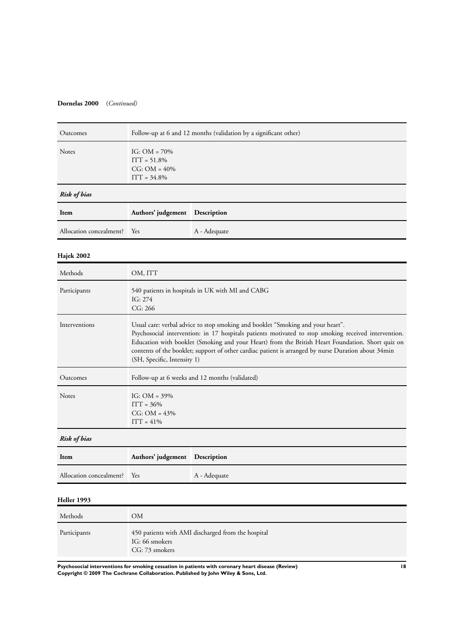### **Dornelas 2000** (*Continued)*

| Outcomes                | Follow-up at 6 and 12 months (validation by a significant other)                                                                                                                                                                                                                                                                                                                                                                  |                    |  |
|-------------------------|-----------------------------------------------------------------------------------------------------------------------------------------------------------------------------------------------------------------------------------------------------------------------------------------------------------------------------------------------------------------------------------------------------------------------------------|--------------------|--|
| <b>Notes</b>            | IG: $OM = 70\%$<br>$ITT = 51.8%$<br>$CG: OM = 40\%$<br>$ITT = 34.8%$                                                                                                                                                                                                                                                                                                                                                              |                    |  |
| <b>Risk of bias</b>     |                                                                                                                                                                                                                                                                                                                                                                                                                                   |                    |  |
| Item                    | Authors' judgement                                                                                                                                                                                                                                                                                                                                                                                                                | <b>Description</b> |  |
| Allocation concealment? | Yes                                                                                                                                                                                                                                                                                                                                                                                                                               | A - Adequate       |  |
| Hajek 2002              |                                                                                                                                                                                                                                                                                                                                                                                                                                   |                    |  |
| Methods                 | OM, ITT                                                                                                                                                                                                                                                                                                                                                                                                                           |                    |  |
| Participants            | 540 patients in hospitals in UK with MI and CABG<br>IG: 274<br>CG: 266                                                                                                                                                                                                                                                                                                                                                            |                    |  |
| Interventions           | Usual care: verbal advice to stop smoking and booklet "Smoking and your heart".<br>Psychosocial intervention: in 17 hospitals patients motivated to stop smoking received intervention.<br>Education with booklet (Smoking and your Heart) from the British Heart Foundation. Short quiz on<br>contents of the booklet; support of other cardiac patient is arranged by nurse Duration about 34min<br>(SH, Specific, Intensity 1) |                    |  |
| Outcomes                | Follow-up at 6 weeks and 12 months (validated)                                                                                                                                                                                                                                                                                                                                                                                    |                    |  |
| Notes                   | IG: $OM = 39\%$<br>$ITT = 36%$<br>$CG: OM = 43%$<br>$ITT = 41%$                                                                                                                                                                                                                                                                                                                                                                   |                    |  |
| <b>Risk of bias</b>     |                                                                                                                                                                                                                                                                                                                                                                                                                                   |                    |  |
| Item                    | Authors' judgement<br>Description                                                                                                                                                                                                                                                                                                                                                                                                 |                    |  |
| Allocation concealment? | Yes                                                                                                                                                                                                                                                                                                                                                                                                                               | A - Adequate       |  |
| Heller 1993             |                                                                                                                                                                                                                                                                                                                                                                                                                                   |                    |  |
| Methods                 | OM                                                                                                                                                                                                                                                                                                                                                                                                                                |                    |  |
| Participants            | 450 patients with AMI discharged from the hospital<br>IG: 66 smokers<br>CG: 73 smokers                                                                                                                                                                                                                                                                                                                                            |                    |  |

**Psychosocial interventions for smoking cessation in patients with coronary heart disease (Review) 18 Copyright © 2009 The Cochrane Collaboration. Published by John Wiley & Sons, Ltd.**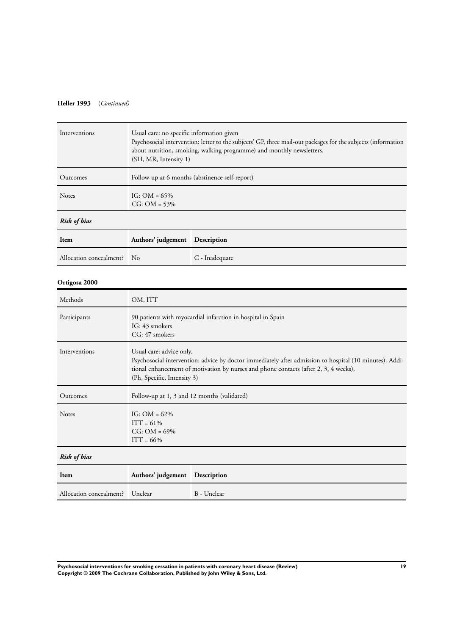### **Heller 1993** (*Continued)*

| Interventions           | Usual care: no specific information given<br>Psychosocial intervention: letter to the subjects' GP, three mail-out packages for the subjects (information<br>about nutrition, smoking, walking programme) and monthly newsletters.<br>(SH, MR, Intensity 1) |                                                |  |
|-------------------------|-------------------------------------------------------------------------------------------------------------------------------------------------------------------------------------------------------------------------------------------------------------|------------------------------------------------|--|
| Outcomes                |                                                                                                                                                                                                                                                             | Follow-up at 6 months (abstinence self-report) |  |
| Notes                   | IG: $OM = 65\%$<br>$CG: OM = 53%$                                                                                                                                                                                                                           |                                                |  |
| <b>Risk of bias</b>     |                                                                                                                                                                                                                                                             |                                                |  |
| Item                    | Authors' judgement                                                                                                                                                                                                                                          | Description                                    |  |
| Allocation concealment? | No                                                                                                                                                                                                                                                          | C - Inadequate                                 |  |
| Ortigosa 2000           |                                                                                                                                                                                                                                                             |                                                |  |
| Methods                 | OM, ITT                                                                                                                                                                                                                                                     |                                                |  |
| Participants            | 90 patients with myocardial infarction in hospital in Spain<br>IG: 43 smokers<br>CG: 47 smokers                                                                                                                                                             |                                                |  |
| Interventions           | Usual care: advice only.<br>Psychosocial intervention: advice by doctor immediately after admission to hospital (10 minutes). Addi-<br>tional enhancement of motivation by nurses and phone contacts (after 2, 3, 4 weeks).<br>(Ph, Specific, Intensity 3)  |                                                |  |
| Outcomes                | Follow-up at 1, 3 and 12 months (validated)                                                                                                                                                                                                                 |                                                |  |
| Notes                   | IG: $OM = 62\%$<br>$ITT = 61%$<br>$CG: OM = 69\%$<br>$ITT = 66%$                                                                                                                                                                                            |                                                |  |
| <b>Risk of bias</b>     |                                                                                                                                                                                                                                                             |                                                |  |
| Item                    | Authors' judgement                                                                                                                                                                                                                                          | Description                                    |  |
| Allocation concealment? | Unclear                                                                                                                                                                                                                                                     | B - Unclear                                    |  |

**Psychosocial interventions for smoking cessation in patients with coronary heart disease (Review) 19 Copyright © 2009 The Cochrane Collaboration. Published by John Wiley & Sons, Ltd.**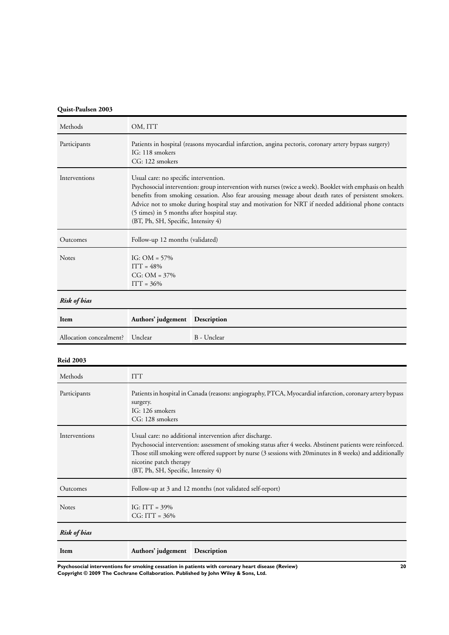### **Quist-Paulsen 2003**

| Methods                 | OM, ITT                                                                                                                                                                                                                                                                                                                                                                                                                                                |             |  |
|-------------------------|--------------------------------------------------------------------------------------------------------------------------------------------------------------------------------------------------------------------------------------------------------------------------------------------------------------------------------------------------------------------------------------------------------------------------------------------------------|-------------|--|
| Participants            | Patients in hospital (reasons myocardial infarction, angina pectoris, coronary artery bypass surgery)<br>IG: 118 smokers<br>CG: 122 smokers                                                                                                                                                                                                                                                                                                            |             |  |
| Interventions           | Usual care: no specific intervention.<br>Psychosocial intervention: group intervention with nurses (twice a week). Booklet with emphasis on health<br>benefits from smoking cessation. Also fear arousing message about death rates of persistent smokers.<br>Advice not to smoke during hospital stay and motivation for NRT if needed additional phone contacts<br>(5 times) in 5 months after hospital stay.<br>(BT, Ph, SH, Specific, Intensity 4) |             |  |
| Outcomes                | Follow-up 12 months (validated)                                                                                                                                                                                                                                                                                                                                                                                                                        |             |  |
| Notes                   | IG: $OM = 57\%$<br>$ITT = 48%$<br>$CG: OM = 37\%$<br>$ITT = 36%$                                                                                                                                                                                                                                                                                                                                                                                       |             |  |
| <b>Risk of bias</b>     |                                                                                                                                                                                                                                                                                                                                                                                                                                                        |             |  |
| Item                    | Authors' judgement                                                                                                                                                                                                                                                                                                                                                                                                                                     | Description |  |
| Allocation concealment? | Unclear                                                                                                                                                                                                                                                                                                                                                                                                                                                | B - Unclear |  |
| <b>Reid 2003</b>        |                                                                                                                                                                                                                                                                                                                                                                                                                                                        |             |  |
| Methods                 | <b>ITT</b>                                                                                                                                                                                                                                                                                                                                                                                                                                             |             |  |
| Participants            | Patients in hospital in Canada (reasons: angiography, PTCA, Myocardial infarction, coronary artery bypass<br>surgery.<br>IG: 126 smokers<br>CG: 128 smokers                                                                                                                                                                                                                                                                                            |             |  |
| Interventions           | Usual care: no additional intervention after discharge.<br>Psychosocial intervention: assessment of smoking status after 4 weeks. Abstinent patients were reinforced.<br>Those still smoking were offered support by nurse (3 sessions with 20minutes in 8 weeks) and additionally<br>nicotine patch therapy<br>(BT, Ph, SH, Specific, Intensity 4)                                                                                                    |             |  |
| Outcomes                | Follow-up at 3 and 12 months (not validated self-report)                                                                                                                                                                                                                                                                                                                                                                                               |             |  |
| Notes                   | $IG: ITT = 39%$                                                                                                                                                                                                                                                                                                                                                                                                                                        |             |  |

*Risk of bias*

| Item | Authors' judgement Description |  |
|------|--------------------------------|--|
|      |                                |  |

**Psychosocial interventions for smoking cessation in patients with coronary heart disease (Review) 20 Copyright © 2009 The Cochrane Collaboration. Published by John Wiley & Sons, Ltd.**

CG: ITT = 36%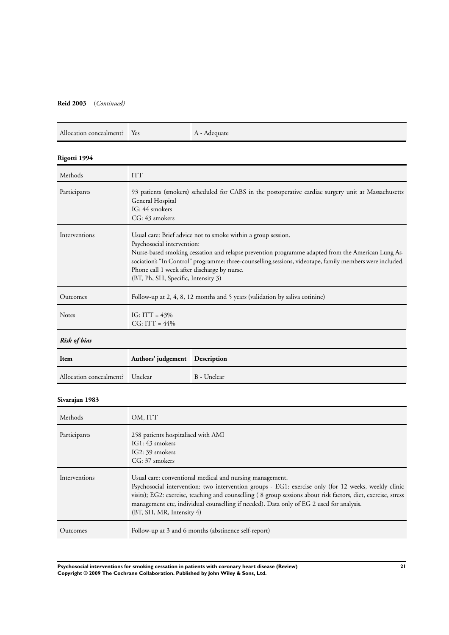### **Reid 2003** (*Continued)*

| Allocation concealment?  Yes | A - Adequate |
|------------------------------|--------------|
|                              |              |

### **Rigotti 1994**

| Methods                 | <b>ITT</b>                                                                                                                                                                                                                                                                                                                                                                                         |                                                                                                                                                                  |  |
|-------------------------|----------------------------------------------------------------------------------------------------------------------------------------------------------------------------------------------------------------------------------------------------------------------------------------------------------------------------------------------------------------------------------------------------|------------------------------------------------------------------------------------------------------------------------------------------------------------------|--|
| Participants            | 93 patients (smokers) scheduled for CABS in the postoperative cardiac surgery unit at Massachusetts<br>General Hospital<br>IG: 44 smokers<br>CG: 43 smokers                                                                                                                                                                                                                                        |                                                                                                                                                                  |  |
| Interventions           | Usual care: Brief advice not to smoke within a group session.<br>Psychosocial intervention:<br>Nurse-based smoking cessation and relapse prevention programme adapted from the American Lung As-<br>sociation's "In Control" programme: three-counselling sessions, videotape, family members were included.<br>Phone call 1 week after discharge by nurse.<br>(BT, Ph, SH, Specific, Intensity 3) |                                                                                                                                                                  |  |
| Outcomes                | Follow-up at 2, 4, 8, 12 months and 5 years (validation by saliva cotinine)                                                                                                                                                                                                                                                                                                                        |                                                                                                                                                                  |  |
| Notes                   | IG: ITT = $43\%$<br>$CG: ITT = 44%$                                                                                                                                                                                                                                                                                                                                                                |                                                                                                                                                                  |  |
| <b>Risk of bias</b>     |                                                                                                                                                                                                                                                                                                                                                                                                    |                                                                                                                                                                  |  |
| Item                    | Authors' judgement                                                                                                                                                                                                                                                                                                                                                                                 | <b>Description</b>                                                                                                                                               |  |
| Allocation concealment? | Unclear                                                                                                                                                                                                                                                                                                                                                                                            | B - Unclear                                                                                                                                                      |  |
| Sivarajan 1983          |                                                                                                                                                                                                                                                                                                                                                                                                    |                                                                                                                                                                  |  |
| Methods                 | OM, ITT                                                                                                                                                                                                                                                                                                                                                                                            |                                                                                                                                                                  |  |
| Participants            | 258 patients hospitalised with AMI<br>IG1: 43 smokers<br>IG2: 39 smokers<br>CG: 37 smokers                                                                                                                                                                                                                                                                                                         |                                                                                                                                                                  |  |
| Interventions           |                                                                                                                                                                                                                                                                                                                                                                                                    | Usual care: conventional medical and nursing management.<br>Psychosocial intervention: two intervention groups - EG1: exercise only (for 12 weeks, weekly clinic |  |

(BT, SH, MR, Intensity 4) Outcomes Follow-up at 3 and 6 months (abstinence self-report)

visits); EG2: exercise, teaching and counselling ( 8 group sessions about risk factors, diet, exercise, stress

management etc, individual counselling if needed). Data only of EG 2 used for analysis.

**Psychosocial interventions for smoking cessation in patients with coronary heart disease (Review) 21 Copyright © 2009 The Cochrane Collaboration. Published by John Wiley & Sons, Ltd.**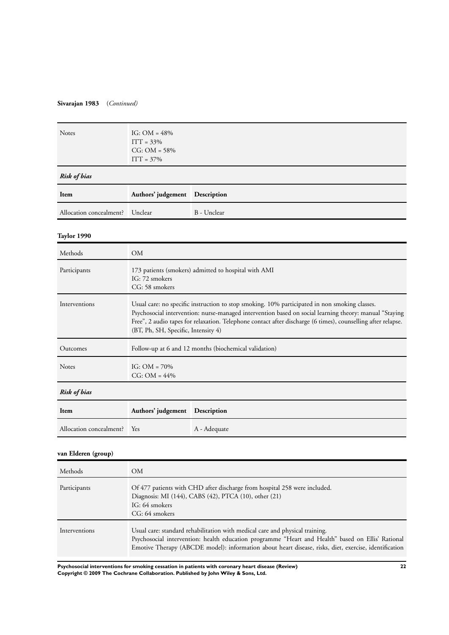### **Sivarajan 1983** (*Continued)*

| Notes                   | IG: $OM = 48%$<br>$ITT = 33%$<br>$CG: OM = 58%$<br>$ITT = 37%$                                                                                                                                                                                                                                                                                                 |              |  |
|-------------------------|----------------------------------------------------------------------------------------------------------------------------------------------------------------------------------------------------------------------------------------------------------------------------------------------------------------------------------------------------------------|--------------|--|
| <b>Risk of bias</b>     |                                                                                                                                                                                                                                                                                                                                                                |              |  |
| Item                    | Authors' judgement                                                                                                                                                                                                                                                                                                                                             | Description  |  |
| Allocation concealment? | Unclear                                                                                                                                                                                                                                                                                                                                                        | B - Unclear  |  |
| Taylor 1990             |                                                                                                                                                                                                                                                                                                                                                                |              |  |
| Methods                 | <b>OM</b>                                                                                                                                                                                                                                                                                                                                                      |              |  |
| Participants            | 173 patients (smokers) admitted to hospital with AMI<br>IG: 72 smokers<br>CG: 58 smokers                                                                                                                                                                                                                                                                       |              |  |
| Interventions           | Usual care: no specific instruction to stop smoking. 10% participated in non smoking classes.<br>Psychosocial intervention: nurse-managed intervention based on social learning theory: manual "Staying<br>Free", 2 audio tapes for relaxation. Telephone contact after discharge (6 times), counselling after relapse.<br>(BT, Ph, SH, Specific, Intensity 4) |              |  |
| Outcomes                | Follow-up at 6 and 12 months (biochemical validation)                                                                                                                                                                                                                                                                                                          |              |  |
| Notes                   | IG: $OM = 70\%$<br>$CG: OM = 44\%$                                                                                                                                                                                                                                                                                                                             |              |  |
| <b>Risk of bias</b>     |                                                                                                                                                                                                                                                                                                                                                                |              |  |
| Item                    | Authors' judgement                                                                                                                                                                                                                                                                                                                                             | Description  |  |
| Allocation concealment? | Yes                                                                                                                                                                                                                                                                                                                                                            | A - Adequate |  |
| van Elderen (group)     |                                                                                                                                                                                                                                                                                                                                                                |              |  |
|                         |                                                                                                                                                                                                                                                                                                                                                                |              |  |

| Methods       | OM.                                                                                                                                                                                                                                                                                        |
|---------------|--------------------------------------------------------------------------------------------------------------------------------------------------------------------------------------------------------------------------------------------------------------------------------------------|
| Participants  | Of 477 patients with CHD after discharge from hospital 258 were included.<br>Diagnosis: MI (144), CABS (42), PTCA (10), other (21)<br>IG: 64 smokers<br>CG: 64 smokers                                                                                                                     |
| Interventions | Usual care: standard rehabilitation with medical care and physical training.<br>Psychosocial intervention: health education programme "Heart and Health" based on Ellis' Rational<br>Emotive Therapy (ABCDE model): information about heart disease, risks, diet, exercise, identification |

**Psychosocial interventions for smoking cessation in patients with coronary heart disease (Review) 22 Copyright © 2009 The Cochrane Collaboration. Published by John Wiley & Sons, Ltd.**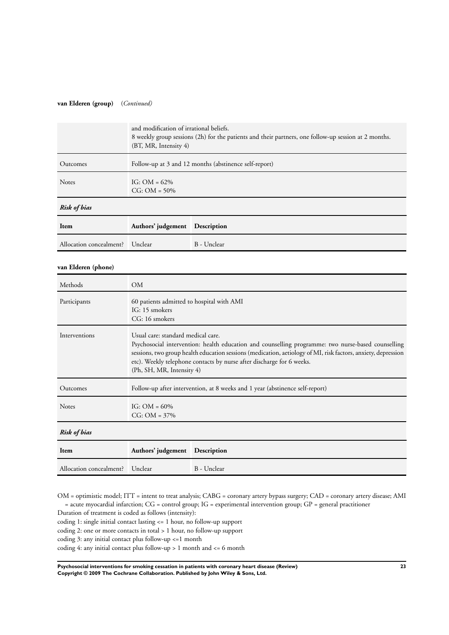#### **van Elderen (group)** (*Continued)*

|                         | and modification of irrational beliefs.<br>8 weekly group sessions (2h) for the patients and their partners, one follow-up session at 2 months.<br>(BT, MR, Intensity 4) |             |  |
|-------------------------|--------------------------------------------------------------------------------------------------------------------------------------------------------------------------|-------------|--|
| Outcomes                | Follow-up at 3 and 12 months (abstinence self-report)                                                                                                                    |             |  |
| Notes                   | IG: $OM = 62\%$<br>$CG: OM = 50\%$                                                                                                                                       |             |  |
| <b>Risk of bias</b>     |                                                                                                                                                                          |             |  |
| Item                    | Authors' judgement Description                                                                                                                                           |             |  |
| Allocation concealment? | Unclear                                                                                                                                                                  | B - Unclear |  |
| van Elderen (phone)     |                                                                                                                                                                          |             |  |

| Methods                 | <b>OM</b>                                                                                                                                                                                                                                                                                                                                                       |             |  |
|-------------------------|-----------------------------------------------------------------------------------------------------------------------------------------------------------------------------------------------------------------------------------------------------------------------------------------------------------------------------------------------------------------|-------------|--|
| Participants            | 60 patients admitted to hospital with AMI<br>IG: 15 smokers<br>CG: 16 smokers                                                                                                                                                                                                                                                                                   |             |  |
| Interventions           | Usual care: standard medical care.<br>Psychosocial intervention: health education and counselling programme: two nurse-based counselling<br>sessions, two group health education sessions (medication, aetiology of MI, risk factors, anxiety, depression<br>etc). Weekly telephone contacts by nurse after discharge for 6 weeks.<br>(Ph, SH, MR, Intensity 4) |             |  |
| Outcomes                | Follow-up after intervention, at 8 weeks and 1 year (abstinence self-report)                                                                                                                                                                                                                                                                                    |             |  |
| <b>Notes</b>            | IG: $OM = 60\%$<br>$CG: OM = 37\%$                                                                                                                                                                                                                                                                                                                              |             |  |
| Risk of bias            |                                                                                                                                                                                                                                                                                                                                                                 |             |  |
| Item                    | Authors' judgement Description                                                                                                                                                                                                                                                                                                                                  |             |  |
| Allocation concealment? | Unclear                                                                                                                                                                                                                                                                                                                                                         | B - Unclear |  |

OM = optimistic model; ITT = intent to treat analysis; CABG = coronary artery bypass surgery; CAD = coronary artery disease; AMI = acute myocardial infarction; CG = control group; IG = experimental intervention group; GP = general practitioner

Duration of treatment is coded as follows (intensity):

coding 1: single initial contact lasting <= 1 hour, no follow-up support

coding 2: one or more contacts in total > 1 hour, no follow-up support

coding 3: any initial contact plus follow-up <=1 month

coding 4: any initial contact plus follow-up > 1 month and <= 6 month

**Psychosocial interventions for smoking cessation in patients with coronary heart disease (Review) 23 Copyright © 2009 The Cochrane Collaboration. Published by John Wiley & Sons, Ltd.**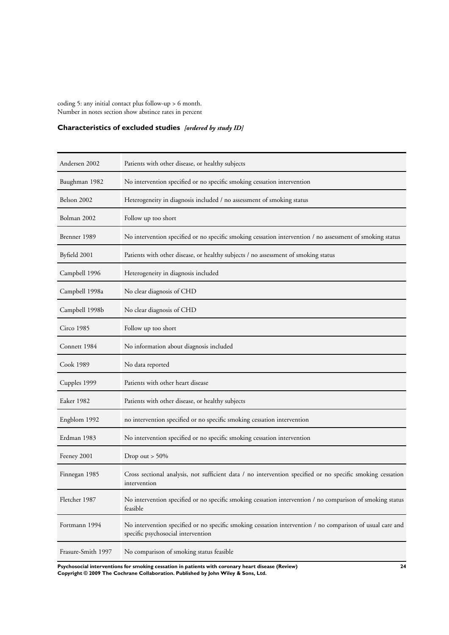<span id="page-25-0"></span>coding 5: any initial contact plus follow-up > 6 month. Number in notes section show abstince rates in percent

### **Characteristics of excluded studies** *[ordered by study ID]*

| Andersen 2002      | Patients with other disease, or healthy subjects                                                                                                |
|--------------------|-------------------------------------------------------------------------------------------------------------------------------------------------|
| Baughman 1982      | No intervention specified or no specific smoking cessation intervention                                                                         |
| Belson 2002        | Heterogeneity in diagnosis included / no assessment of smoking status                                                                           |
| Bolman 2002        | Follow up too short                                                                                                                             |
| Brenner 1989       | No intervention specified or no specific smoking cessation intervention / no assessment of smoking status                                       |
| Byfield 2001       | Patients with other disease, or healthy subjects / no assessment of smoking status                                                              |
| Campbell 1996      | Heterogeneity in diagnosis included                                                                                                             |
| Campbell 1998a     | No clear diagnosis of CHD                                                                                                                       |
| Campbell 1998b     | No clear diagnosis of CHD                                                                                                                       |
| Circo 1985         | Follow up too short                                                                                                                             |
| Connett 1984       | No information about diagnosis included                                                                                                         |
| Cook 1989          | No data reported                                                                                                                                |
| Cupples 1999       | Patients with other heart disease                                                                                                               |
| Eaker 1982         | Patients with other disease, or healthy subjects                                                                                                |
| Engblom 1992       | no intervention specified or no specific smoking cessation intervention                                                                         |
| Erdman 1983        | No intervention specified or no specific smoking cessation intervention                                                                         |
| Feeney 2001        | Drop out $> 50\%$                                                                                                                               |
| Finnegan 1985      | Cross sectional analysis, not sufficient data / no intervention specified or no specific smoking cessation<br>intervention                      |
| Fletcher 1987      | No intervention specified or no specific smoking cessation intervention / no comparison of smoking status<br>feasible                           |
| Fortmann 1994      | No intervention specified or no specific smoking cessation intervention / no comparison of usual care and<br>specific psychosocial intervention |
| Frasure-Smith 1997 | No comparison of smoking status feasible                                                                                                        |

**Psychosocial interventions for smoking cessation in patients with coronary heart disease (Review) 24 Copyright © 2009 The Cochrane Collaboration. Published by John Wiley & Sons, Ltd.**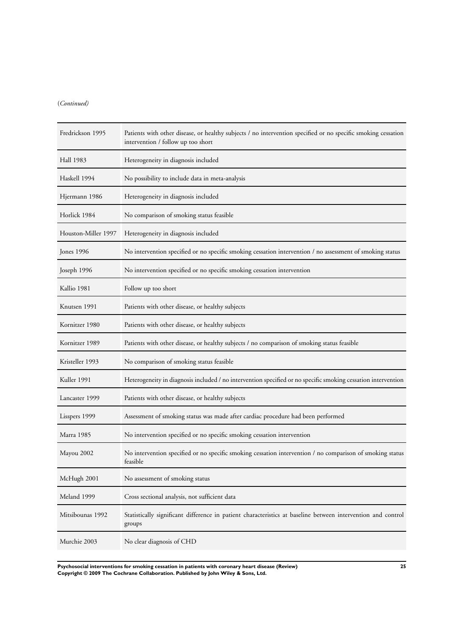### (*Continued)*

| Fredrickson 1995    | Patients with other disease, or healthy subjects / no intervention specified or no specific smoking cessation<br>intervention / follow up too short |
|---------------------|-----------------------------------------------------------------------------------------------------------------------------------------------------|
| Hall 1983           | Heterogeneity in diagnosis included                                                                                                                 |
| Haskell 1994        | No possibility to include data in meta-analysis                                                                                                     |
| Hjermann 1986       | Heterogeneity in diagnosis included                                                                                                                 |
| Horlick 1984        | No comparison of smoking status feasible                                                                                                            |
| Houston-Miller 1997 | Heterogeneity in diagnosis included                                                                                                                 |
| Jones 1996          | No intervention specified or no specific smoking cessation intervention / no assessment of smoking status                                           |
| Joseph 1996         | No intervention specified or no specific smoking cessation intervention                                                                             |
| Kallio 1981         | Follow up too short                                                                                                                                 |
| Knutsen 1991        | Patients with other disease, or healthy subjects                                                                                                    |
| Kornitzer 1980      | Patients with other disease, or healthy subjects                                                                                                    |
| Kornitzer 1989      | Patients with other disease, or healthy subjects / no comparison of smoking status feasible                                                         |
| Kristeller 1993     | No comparison of smoking status feasible                                                                                                            |
| Kuller 1991         | Heterogeneity in diagnosis included / no intervention specified or no specific smoking cessation intervention                                       |
| Lancaster 1999      | Patients with other disease, or healthy subjects                                                                                                    |
| Lisspers 1999       | Assessment of smoking status was made after cardiac procedure had been performed                                                                    |
| Marra 1985          | No intervention specified or no specific smoking cessation intervention                                                                             |
| Mayou 2002          | No intervention specified or no specific smoking cessation intervention / no comparison of smoking status<br>feasible                               |
| McHugh 2001         | No assessment of smoking status                                                                                                                     |
| Meland 1999         | Cross sectional analysis, not sufficient data                                                                                                       |
| Mitsibounas 1992    | Statistically significant difference in patient characteristics at baseline between intervention and control<br>groups                              |
| Murchie 2003        | No clear diagnosis of CHD                                                                                                                           |

**Psychosocial interventions for smoking cessation in patients with coronary heart disease (Review) 25 Copyright © 2009 The Cochrane Collaboration. Published by John Wiley & Sons, Ltd.**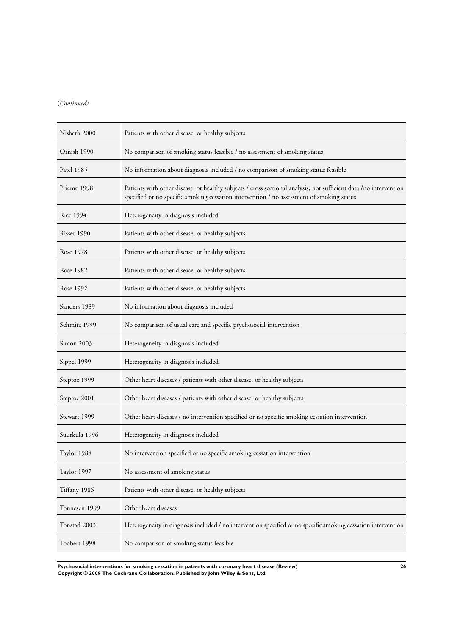### (*Continued)*

| Nisbeth 2000  | Patients with other disease, or healthy subjects                                                                                                                                                               |
|---------------|----------------------------------------------------------------------------------------------------------------------------------------------------------------------------------------------------------------|
| Ornish 1990   | No comparison of smoking status feasible / no assessment of smoking status                                                                                                                                     |
| Patel 1985    | No information about diagnosis included / no comparison of smoking status feasible                                                                                                                             |
| Prieme 1998   | Patients with other disease, or healthy subjects / cross sectional analysis, not sufficient data /no intervention<br>specified or no specific smoking cessation intervention / no assessment of smoking status |
| Rice 1994     | Heterogeneity in diagnosis included                                                                                                                                                                            |
| Risser 1990   | Patients with other disease, or healthy subjects                                                                                                                                                               |
| Rose 1978     | Patients with other disease, or healthy subjects                                                                                                                                                               |
| Rose 1982     | Patients with other disease, or healthy subjects                                                                                                                                                               |
| Rose 1992     | Patients with other disease, or healthy subjects                                                                                                                                                               |
| Sanders 1989  | No information about diagnosis included                                                                                                                                                                        |
| Schmitz 1999  | No comparison of usual care and specific psychosocial intervention                                                                                                                                             |
| Simon 2003    | Heterogeneity in diagnosis included                                                                                                                                                                            |
| Sippel 1999   | Heterogeneity in diagnosis included                                                                                                                                                                            |
| Steptoe 1999  | Other heart diseases / patients with other disease, or healthy subjects                                                                                                                                        |
| Steptoe 2001  | Other heart diseases / patients with other disease, or healthy subjects                                                                                                                                        |
| Stewart 1999  | Other heart diseases / no intervention specified or no specific smoking cessation intervention                                                                                                                 |
| Suurkula 1996 | Heterogeneity in diagnosis included                                                                                                                                                                            |
| Taylor 1988   | No intervention specified or no specific smoking cessation intervention                                                                                                                                        |
| Taylor 1997   | No assessment of smoking status                                                                                                                                                                                |
| Tiffany 1986  | Patients with other disease, or healthy subjects                                                                                                                                                               |
| Tonnesen 1999 | Other heart diseases                                                                                                                                                                                           |
| Tonstad 2003  | Heterogeneity in diagnosis included / no intervention specified or no specific smoking cessation intervention                                                                                                  |
| Toobert 1998  | No comparison of smoking status feasible                                                                                                                                                                       |

**Psychosocial interventions for smoking cessation in patients with coronary heart disease (Review) 26 Copyright © 2009 The Cochrane Collaboration. Published by John Wiley & Sons, Ltd.**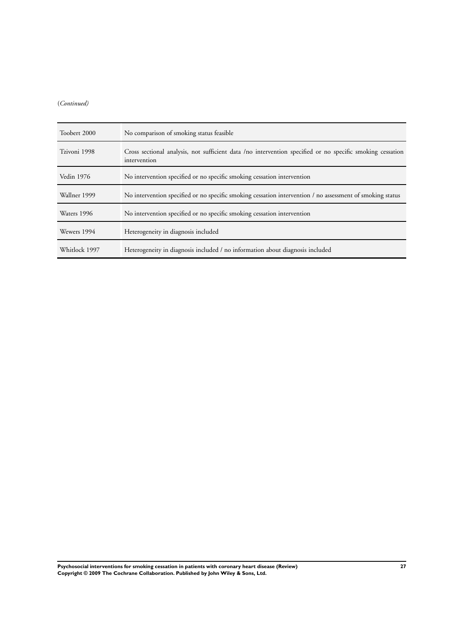### (*Continued)*

| Toobert 2000  | No comparison of smoking status feasible                                                                                  |
|---------------|---------------------------------------------------------------------------------------------------------------------------|
| Tzivoni 1998  | Cross sectional analysis, not sufficient data /no intervention specified or no specific smoking cessation<br>intervention |
| Vedin 1976    | No intervention specified or no specific smoking cessation intervention                                                   |
| Wallner 1999  | No intervention specified or no specific smoking cessation intervention / no assessment of smoking status                 |
| Waters 1996   | No intervention specified or no specific smoking cessation intervention                                                   |
| Wewers 1994   | Heterogeneity in diagnosis included                                                                                       |
| Whitlock 1997 | Heterogeneity in diagnosis included / no information about diagnosis included                                             |

**Psychosocial interventions for smoking cessation in patients with coronary heart disease (Review) 27 Copyright © 2009 The Cochrane Collaboration. Published by John Wiley & Sons, Ltd.**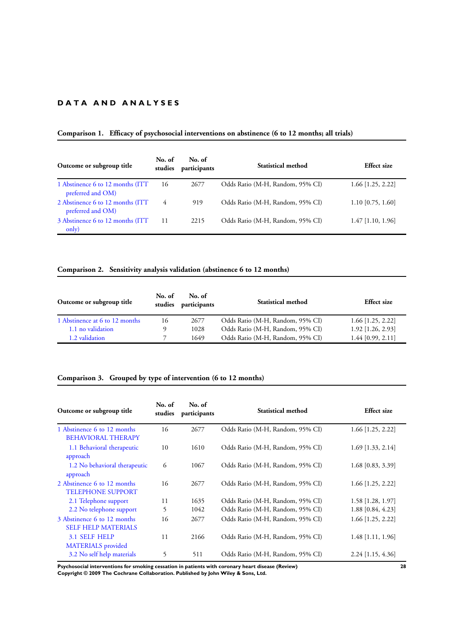### **D A T A A N D A N A L Y S E S**

### **Comparison 1. Efficacy of psychosocial interventions on abstinence (6 to 12 months; all trials)**

| Outcome or subgroup title                              | No. of<br>studies | No. of<br>participants | Statistical method               | Effect size         |
|--------------------------------------------------------|-------------------|------------------------|----------------------------------|---------------------|
| 1 Abstinence 6 to 12 months (ITT)<br>preferred and OM) | 16                | 2677                   | Odds Ratio (M-H, Random, 95% CI) | $1.66$ [1.25, 2.22] |
| 2 Abstinence 6 to 12 months (ITT)<br>preferred and OM) | 4                 | 919                    | Odds Ratio (M-H, Random, 95% CI) | $1.10$ [0.75, 1.60] |
| 3 Abstinence 6 to 12 months (ITT)<br>only)             | 11                | 2215                   | Odds Ratio (M-H, Random, 95% CI) | $1.47$ [1.10, 1.96] |

### **Comparison 2. Sensitivity analysis validation (abstinence 6 to 12 months)**

| Outcome or subgroup title      | No. of<br>studies | No. of<br>participants | Statistical method               | <b>Effect</b> size  |
|--------------------------------|-------------------|------------------------|----------------------------------|---------------------|
| 1 Abstinence at 6 to 12 months | 16                | 2677                   | Odds Ratio (M-H, Random, 95% CI) | $1.66$ [1.25, 2.22] |
| 1.1 no validation              |                   | 1028                   | Odds Ratio (M-H, Random, 95% CI) | $1.92$ [1.26, 2.93] |
| 1.2 validation                 |                   | 1649                   | Odds Ratio (M-H, Random, 95% CI) | $1.44$ [0.99, 2.11] |

### **Comparison 3. Grouped by type of intervention (6 to 12 months)**

| Outcome or subgroup title                                 | No. of<br>studies | No. of<br>participants | Statistical method               | <b>Effect</b> size  |
|-----------------------------------------------------------|-------------------|------------------------|----------------------------------|---------------------|
| 1 Abstinence 6 to 12 months<br><b>BEHAVIORAL THERAPY</b>  | 16                | 2677                   | Odds Ratio (M-H, Random, 95% CI) | 1.66 [1.25, 2.22]   |
| 1.1 Behavioral therapeutic<br>approach                    | 10                | 1610                   | Odds Ratio (M-H, Random, 95% CI) | $1.69$ [1.33, 2.14] |
| 1.2 No behavioral therapeutic<br>approach                 | 6                 | 1067                   | Odds Ratio (M-H, Random, 95% CI) | $1.68$ [0.83, 3.39] |
| 2 Abstinence 6 to 12 months<br><b>TELEPHONE SUPPORT</b>   | 16                | 2677                   | Odds Ratio (M-H, Random, 95% CI) | $1.66$ [1.25, 2.22] |
| 2.1 Telephone support                                     | 11                | 1635                   | Odds Ratio (M-H, Random, 95% CI) | 1.58 [1.28, 1.97]   |
| 2.2 No telephone support                                  | 5                 | 1042                   | Odds Ratio (M-H, Random, 95% CI) | 1.88 [0.84, 4.23]   |
| 3 Abstinence 6 to 12 months<br><b>SELF HELP MATERIALS</b> | 16                | 2677                   | Odds Ratio (M-H, Random, 95% CI) | $1.66$ [1.25, 2.22] |
| <b>3.1 SELF HELP</b><br><b>MATERIALS</b> provided         | 11                | 2166                   | Odds Ratio (M-H, Random, 95% CI) | $1.48$ [1.11, 1.96] |
| 3.2 No self help materials                                | 5                 | 511                    | Odds Ratio (M-H, Random, 95% CI) | $2.24$ [1.15, 4.36] |

**Psychosocial interventions for smoking cessation in patients with coronary heart disease (Review) 28 Copyright © 2009 The Cochrane Collaboration. Published by John Wiley & Sons, Ltd.**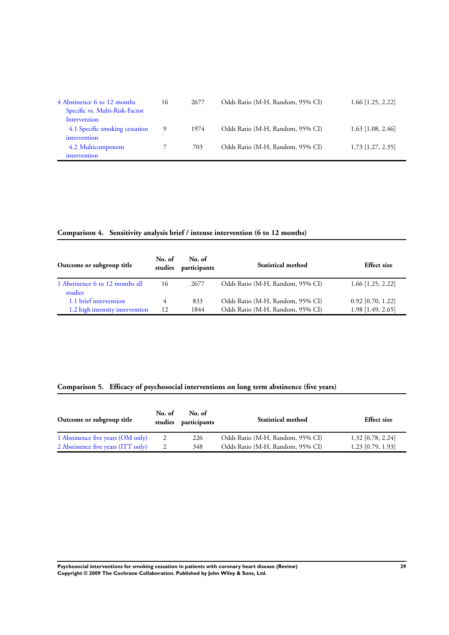| 4 Abstinence 6 to 12 months<br>Specific vs. Multi-Risk-Factor | 16 | 2677 | Odds Ratio (M-H, Random, 95% CI) | $1.66$ [1.25, 2.22] |
|---------------------------------------------------------------|----|------|----------------------------------|---------------------|
| Intervention                                                  |    |      |                                  |                     |
| 4.1 Specific smoking cessation                                | 9  | 1974 | Odds Ratio (M-H, Random, 95% CI) | $1.63$ [1.08, 2.46] |
| intervention                                                  |    |      |                                  |                     |
| 4.2 Multicomponent                                            |    | 703  | Odds Ratio (M-H, Random, 95% CI) | $1.73$ [1.27, 2.35] |
| intervention                                                  |    |      |                                  |                     |

### **Comparison 4. Sensitivity analysis brief / intense intervention (6 to 12 months)**

| Outcome or subgroup title                  | No. of<br>studies | No. of<br>participants | Statistical method               | <b>Effect size</b>  |
|--------------------------------------------|-------------------|------------------------|----------------------------------|---------------------|
| 1 Abstinence 6 to 12 months all<br>studies | 16                | 2677                   | Odds Ratio (M-H, Random, 95% CI) | $1.66$ [1.25, 2.22] |
| 1.1 brief intervention                     | 4                 | 833                    | Odds Ratio (M-H, Random, 95% CI) | $0.92$ [0.70, 1.22] |
| 1.2 high intensity intervention            | 12                | 1844                   | Odds Ratio (M-H, Random, 95% CI) | 1.98 [1.49, 2.65]   |

### **Comparison 5. Efficacy of psychosocial interventions on long term abstinence (five years)**

| Outcome or subgroup title          | No. of | No. of<br>studies participants | <b>Statistical method</b>        | <b>Effect</b> size  |
|------------------------------------|--------|--------------------------------|----------------------------------|---------------------|
| 1 Abstinence five years (OM only)  |        | 226                            | Odds Ratio (M-H, Random, 95% CI) | $1.32$ [0.78, 2.24] |
| 2 Abstinence five years (ITT only) |        | 348                            | Odds Ratio (M-H, Random, 95% CI) | $1.23$ [0.79, 1.93] |

**Psychosocial interventions for smoking cessation in patients with coronary heart disease (Review) 29 Copyright © 2009 The Cochrane Collaboration. Published by John Wiley & Sons, Ltd.**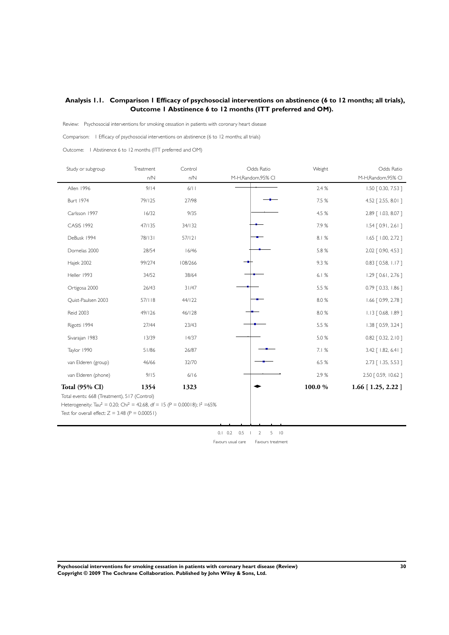### <span id="page-31-0"></span>**Analysis 1.1. Comparison 1 Efficacy of psychosocial interventions on abstinence (6 to 12 months; all trials), Outcome 1 Abstinence 6 to 12 months (ITT preferred and OM).**

Review: Psychosocial interventions for smoking cessation in patients with coronary heart disease

Comparison: 1 Efficacy of psychosocial interventions on abstinence (6 to 12 months; all trials)

Outcome: 1 Abstinence 6 to 12 months (ITT preferred and OM)

 $\blacksquare$ 

j.

| Study or subgroup                                                                                                                                                     | Treatment<br>n/N | Control<br>n/N | Odds Ratio<br>M-H,Random,95% CI                                                                | Weight | Odds Ratio<br>M-H, Random, 95% CI |
|-----------------------------------------------------------------------------------------------------------------------------------------------------------------------|------------------|----------------|------------------------------------------------------------------------------------------------|--------|-----------------------------------|
| Allen 1996                                                                                                                                                            | 9/14             | 6/11           |                                                                                                | 2.4 %  | 1.50 [ 0.30, 7.53 ]               |
| <b>Burt 1974</b>                                                                                                                                                      | 79/125           | 27/98          |                                                                                                | 7.5 %  | 4.52 [ 2.55, 8.01 ]               |
| Carlsson 1997                                                                                                                                                         | 16/32            | 9/35           |                                                                                                | 4.5 %  | 2.89 [ 1.03, 8.07 ]               |
| <b>CASIS 1992</b>                                                                                                                                                     | 47/135           | 34/132         |                                                                                                | 7.9%   | $1.54$ [ 0.91, 2.61 ]             |
| DeBusk 1994                                                                                                                                                           | 78/131           | 57/121         |                                                                                                | 8.1%   | $1.65$ $[ 1.00, 2.72 ]$           |
| Dornelas 2000                                                                                                                                                         | 28/54            | 16/46          |                                                                                                | 5.8 %  | 2.02 [ 0.90, 4.53 ]               |
| Hajek 2002                                                                                                                                                            | 99/274           | 108/266        |                                                                                                | 9.3%   | $0.83$ [ 0.58, 1.17 ]             |
| Heller 1993                                                                                                                                                           | 34/52            | 38/64          |                                                                                                | 6.1%   | $1.29$ [ 0.61, 2.76 ]             |
| Ortigosa 2000                                                                                                                                                         | 26/43            | 31/47          |                                                                                                | 5.5 %  | 0.79 [ 0.33, 1.86 ]               |
| Quist-Paulsen 2003                                                                                                                                                    | 57/118           | 44/122         |                                                                                                | 8.0%   | 1.66 [0.99, 2.78]                 |
| <b>Reid 2003</b>                                                                                                                                                      | 49/126           | 46/128         |                                                                                                | 8.0%   | $1.13$ $[0.68, 1.89]$             |
| Rigotti 1994                                                                                                                                                          | 27/44            | 23/43          |                                                                                                | 5.5 %  | 1.38 [ 0.59, 3.24 ]               |
| Sivarajan 1983                                                                                                                                                        | 13/39            | 14/37          |                                                                                                | 5.0%   | $0.82$ $[ 0.32, 2.10 ]$           |
| Taylor 1990                                                                                                                                                           | 51/86            | 26/87          |                                                                                                | 7.1 %  | 3.42 [ 1.82, 6.41 ]               |
| van Elderen (group)                                                                                                                                                   | 46/66            | 32/70          |                                                                                                | 6.5 %  | 2.73 [ 1.35, 5.53 ]               |
| van Elderen (phone)                                                                                                                                                   | 9/15             | 6/16           |                                                                                                | 2.9%   | 2.50 [ 0.59, 10.62 ]              |
| Total (95% CI)<br>Total events: 668 (Treatment), 517 (Control)<br>Heterogeneity: Tau <sup>2</sup> = 0.20; Chi <sup>2</sup> = 42.68, df = 15 (P = 0.00018); $1^2$ =65% | 1354             | 1323           |                                                                                                | 100.0% | $1.66$ [ $1.25$ , $2.22$ ]        |
| Test for overall effect: $Z = 3.48$ (P = 0.00051)                                                                                                                     |                  |                |                                                                                                |        |                                   |
|                                                                                                                                                                       |                  |                | $0.1 \quad 0.2$<br>0.5<br>5<br> 0<br>$\overline{2}$<br>Favours usual care<br>Favours treatment |        |                                   |

**Psychosocial interventions for smoking cessation in patients with coronary heart disease (Review) 30 Copyright © 2009 The Cochrane Collaboration. Published by John Wiley & Sons, Ltd.**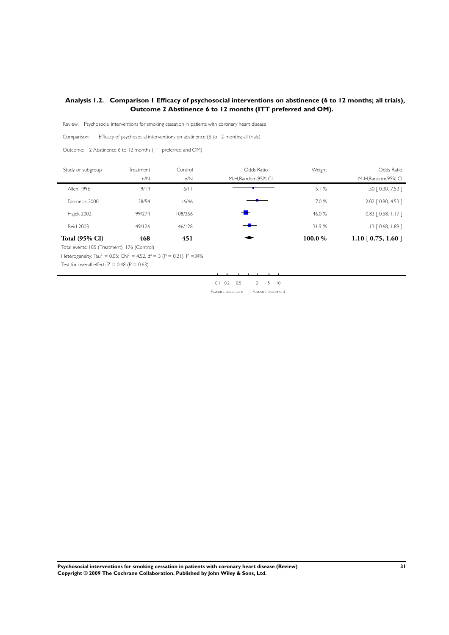### <span id="page-32-0"></span>**Analysis 1.2. Comparison 1 Efficacy of psychosocial interventions on abstinence (6 to 12 months; all trials), Outcome 2 Abstinence 6 to 12 months (ITT preferred and OM).**

Review: Psychosocial interventions for smoking cessation in patients with coronary heart disease

Comparison: 1 Efficacy of psychosocial interventions on abstinence (6 to 12 months; all trials)

Outcome: 2 Abstinence 6 to 12 months (ITT preferred and OM)

| Study or subgroup                                                                              | Treatment | Control | Odds Ratio                                                  | Weight | Odds Ratio                     |
|------------------------------------------------------------------------------------------------|-----------|---------|-------------------------------------------------------------|--------|--------------------------------|
|                                                                                                | n/N       | n/N     | M-H, Random, 95% CI                                         |        | M-H, Random, 95% CI            |
| Allen 1996                                                                                     | 9/14      | 6/11    |                                                             | 5.1%   | 1.50 [ 0.30, 7.53 ]            |
| Dornelas 2000                                                                                  | 28/54     | 16/46   |                                                             | 17.0 % | 2.02 [ 0.90, 4.53 ]            |
| Hajek 2002                                                                                     | 99/274    | 108/266 |                                                             | 46.0%  | $0.83$ [ 0.58, 1.17 ]          |
| <b>Reid 2003</b>                                                                               | 49/126    | 46/128  |                                                             | 31.9%  | $1.13$ $[0.68, 1.89]$          |
| <b>Total (95% CI)</b>                                                                          | 468       | 451     |                                                             | 100.0% | 1.10 $\left[0.75, 1.60\right]$ |
| Total events: 185 (Treatment), 176 (Control)                                                   |           |         |                                                             |        |                                |
| Heterogeneity: Tau <sup>2</sup> = 0.05; Chi <sup>2</sup> = 4.52, df = 3 (P = 0.21); $1^2$ =34% |           |         |                                                             |        |                                |
| Test for overall effect: $Z = 0.48$ (P = 0.63)                                                 |           |         |                                                             |        |                                |
|                                                                                                |           |         |                                                             |        |                                |
|                                                                                                |           |         | 0.2<br>0.5<br>$\overline{10}$<br>0.1<br>$\overline{2}$<br>5 |        |                                |

Favours usual care Favours treatment

**Psychosocial interventions for smoking cessation in patients with coronary heart disease (Review) 31 Copyright © 2009 The Cochrane Collaboration. Published by John Wiley & Sons, Ltd.**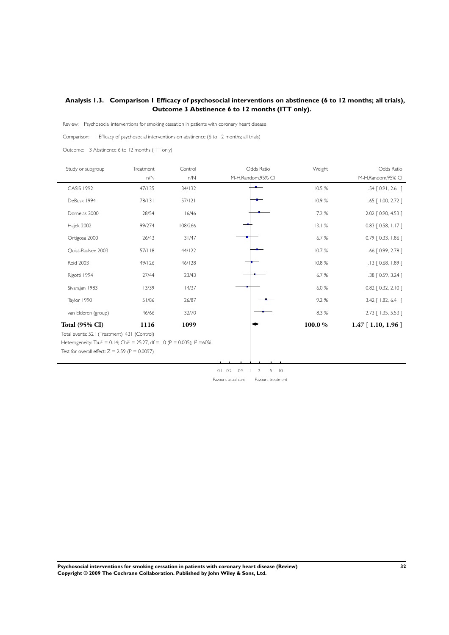### <span id="page-33-0"></span>**Analysis 1.3. Comparison 1 Efficacy of psychosocial interventions on abstinence (6 to 12 months; all trials), Outcome 3 Abstinence 6 to 12 months (ITT only).**

Review: Psychosocial interventions for smoking cessation in patients with coronary heart disease

Comparison: 1 Efficacy of psychosocial interventions on abstinence (6 to 12 months; all trials)

Outcome: 3 Abstinence 6 to 12 months (ITT only)

| Study or subgroup                                                                                                                                                          | Treatment | Control | Odds Ratio        | Weight | Odds Ratio               |
|----------------------------------------------------------------------------------------------------------------------------------------------------------------------------|-----------|---------|-------------------|--------|--------------------------|
|                                                                                                                                                                            | n/N       | n/N     | M-H,Random,95% CI |        | M-H, Random, 95% CI      |
| <b>CASIS 1992</b>                                                                                                                                                          | 47/135    | 34/132  |                   | 10.5 % | $1.54$ [ 0.91, 2.61 ]    |
| DeBusk 1994                                                                                                                                                                | 78/131    | 57/121  |                   | 10.9%  | $1.65$ $[ 1.00, 2.72 ]$  |
| Dornelas 2000                                                                                                                                                              | 28/54     | 16/46   |                   | 7.2 %  | 2.02 [ 0.90, 4.53 ]      |
| Hajek 2002                                                                                                                                                                 | 99/274    | 108/266 |                   | 13.1%  | $0.83$ $[0.58, 1.17]$    |
| Ortigosa 2000                                                                                                                                                              | 26/43     | 31/47   |                   | 6.7%   | $0.79$ $[0.33, 1.86]$    |
| Quist-Paulsen 2003                                                                                                                                                         | 57/118    | 44/122  |                   | 10.7%  | $1.66$ $[0.99, 2.78]$    |
| <b>Reid 2003</b>                                                                                                                                                           | 49/126    | 46/128  |                   | 10.8%  | $1.13$ $[0.68, 1.89]$    |
| Rigotti 1994                                                                                                                                                               | 27/44     | 23/43   |                   | 6.7%   | $1.38$ $[0.59, 3.24]$    |
| Sivarajan 1983                                                                                                                                                             | 13/39     | 14/37   |                   | 6.0%   | $0.82$ $[0.32, 2.10]$    |
| Taylor 1990                                                                                                                                                                | 51/86     | 26/87   |                   | 9.2%   | $3.42$ [ $1.82$ , 6.41 ] |
| van Elderen (group)                                                                                                                                                        | 46/66     | 32/70   |                   | 8.3 %  | 2.73 [ 1.35, 5.53 ]      |
| <b>Total (95% CI)</b><br>Total events: 521 (Treatment), 431 (Control)<br>Heterogeneity: Tau <sup>2</sup> = 0.14; Chi <sup>2</sup> = 25.27, df = 10 (P = 0.005); $1^2$ =60% | 1116      | 1099    |                   | 100.0% | $1.47$ [ 1.10, 1.96 ]    |
| Test for overall effect: $Z = 2.59$ (P = 0.0097)                                                                                                                           |           |         |                   |        |                          |

0.1 0.2 0.5 1 2 5 10 Favours usual care Favours treatment

**Psychosocial interventions for smoking cessation in patients with coronary heart disease (Review) 32 Copyright © 2009 The Cochrane Collaboration. Published by John Wiley & Sons, Ltd.**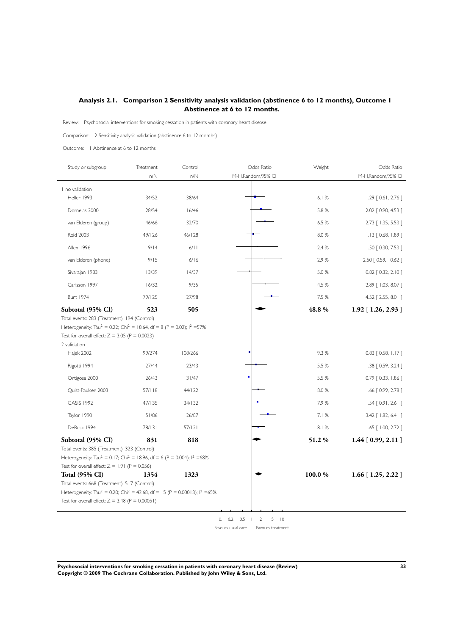### <span id="page-34-0"></span>**Analysis 2.1. Comparison 2 Sensitivity analysis validation (abstinence 6 to 12 months), Outcome 1 Abstinence at 6 to 12 months.**

Review: Psychosocial interventions for smoking cessation in patients with coronary heart disease

Comparison: 2 Sensitivity analysis validation (abstinence 6 to 12 months)

Outcome: 1 Abstinence at 6 to 12 months

| Study or subgroup                                                                                                                                                              | Treatment | Control | Odds Ratio                                                  | Weight | Odds Ratio                 |
|--------------------------------------------------------------------------------------------------------------------------------------------------------------------------------|-----------|---------|-------------------------------------------------------------|--------|----------------------------|
|                                                                                                                                                                                | n/N       | n/N     | M-H,Random,95% CI                                           |        | M-H,Random,95% CI          |
| I no validation                                                                                                                                                                |           |         |                                                             |        |                            |
| Heller 1993                                                                                                                                                                    | 34/52     | 38/64   |                                                             | 6.1%   | $1.29$ [ 0.61, 2.76 ]      |
| Dornelas 2000                                                                                                                                                                  | 28/54     | 16/46   |                                                             | 5.8 %  | 2.02 [ 0.90, 4.53 ]        |
| van Elderen (group)                                                                                                                                                            | 46/66     | 32/70   |                                                             | 6.5 %  | 2.73 [ 1.35, 5.53 ]        |
| <b>Reid 2003</b>                                                                                                                                                               | 49/126    | 46/128  |                                                             | 8.0%   | $1.13$ $[0.68, 1.89]$      |
| Allen 1996                                                                                                                                                                     | 9/14      | 6/11    |                                                             | 2.4%   | 1.50 [ 0.30, 7.53 ]        |
| van Elderen (phone)                                                                                                                                                            | 9/15      | 6/16    |                                                             | 2.9%   | 2.50 [ 0.59, 10.62 ]       |
| Sivarajan 1983                                                                                                                                                                 | 13/39     | 14/37   |                                                             | 5.0 %  | $0.82$ $[0.32, 2.10]$      |
| Carlsson 1997                                                                                                                                                                  | 16/32     | 9/35    |                                                             | 4.5 %  | 2.89 [ 1.03, 8.07 ]        |
| <b>Burt 1974</b>                                                                                                                                                               | 79/125    | 27/98   |                                                             | 7.5 %  | 4.52 [ 2.55, 8.01 ]        |
| Subtotal (95% CI)                                                                                                                                                              | 523       | 505     |                                                             | 48.8 % | 1.92 [1.26, 2.93]          |
| Heterogeneity: Tau <sup>2</sup> = 0.22; Chi <sup>2</sup> = 18.64, df = 8 (P = 0.02); l <sup>2</sup> = 57%<br>Test for overall effect: $Z = 3.05$ (P = 0.0023)<br>2 validation  |           |         |                                                             |        |                            |
| Hajek 2002                                                                                                                                                                     | 99/274    | 108/266 |                                                             | 9.3%   | $0.83$ [ 0.58, 1.17 ]      |
| Rigotti 1994                                                                                                                                                                   | 27/44     | 23/43   |                                                             | 5.5 %  | 1.38 [ 0.59, 3.24 ]        |
| Ortigosa 2000                                                                                                                                                                  | 26/43     | 31/47   |                                                             | 5.5 %  | $0.79$ $[0.33, 1.86]$      |
| Quist-Paulsen 2003                                                                                                                                                             | 57/118    | 44/122  |                                                             | 8.0%   | $1.66$ $[0.99, 2.78]$      |
| <b>CASIS 1992</b>                                                                                                                                                              | 47/135    | 34/132  |                                                             | 7.9%   | $1.54$ [ 0.91, 2.61 ]      |
| Taylor 1990                                                                                                                                                                    | 51/86     | 26/87   |                                                             | 7.1%   | 3.42 [ 1.82, 6.41 ]        |
| DeBusk 1994                                                                                                                                                                    | 78/131    | 57/121  |                                                             | 8.1%   | $1.65$ $[ 1.00, 2.72 ]$    |
| Subtotal (95% CI)<br>Total events: 385 (Treatment), 323 (Control)<br>Heterogeneity: Tau <sup>2</sup> = 0.17; Chi <sup>2</sup> = 18.96, df = 6 (P = 0.004); l <sup>2</sup> =68% | 831       | 818     |                                                             | 51.2%  | $1.44$ [ 0.99, 2.11 ]      |
| Test for overall effect: $Z = 1.91$ (P = 0.056)                                                                                                                                |           |         |                                                             |        |                            |
| <b>Total (95% CI)</b>                                                                                                                                                          | 1354      | 1323    |                                                             | 100.0% | $1.66$ [ $1.25$ , $2.22$ ] |
| Total events: 668 (Treatment), 517 (Control)<br>Heterogeneity: Tau <sup>2</sup> = 0.20; Chi <sup>2</sup> = 42.68, df = 15 (P = 0.00018); l <sup>2</sup> = 65%                  |           |         |                                                             |        |                            |
| Test for overall effect: $Z = 3.48$ (P = 0.00051)                                                                                                                              |           |         |                                                             |        |                            |
|                                                                                                                                                                                |           |         | $0.1$ $0.2$ $0.5$<br>$\overline{2}$<br>5<br>$\overline{10}$ |        |                            |

Favours usual care Favours treatment

**Psychosocial interventions for smoking cessation in patients with coronary heart disease (Review) 33 Copyright © 2009 The Cochrane Collaboration. Published by John Wiley & Sons, Ltd.**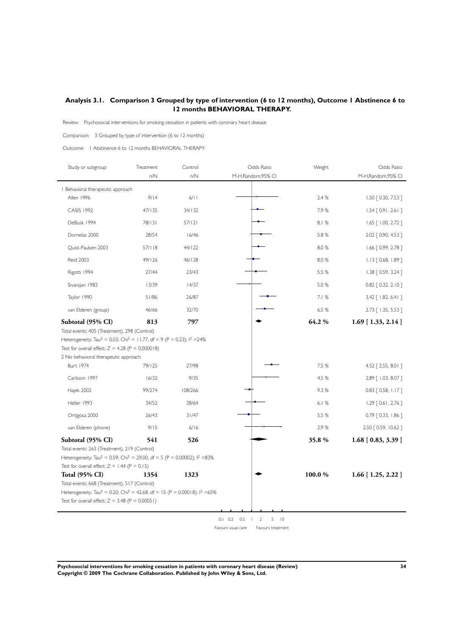### <span id="page-35-0"></span>**Analysis 3.1. Comparison 3 Grouped by type of intervention (6 to 12 months), Outcome 1 Abstinence 6 to 12 months BEHAVIORAL THERAPY.**

Review: Psychosocial interventions for smoking cessation in patients with coronary heart disease

Comparison: 3 Grouped by type of intervention (6 to 12 months)

Outcome: 1 Abstinence 6 to 12 months BEHAVIORAL THERAPY

| Study or subgroup                                                                                           | Treatment<br>n/N | Control<br>n/N | Odds Ratio<br>M-H,Random,95% CI                | Weight  | Odds Ratio<br>M-H, Random, 95% CI |
|-------------------------------------------------------------------------------------------------------------|------------------|----------------|------------------------------------------------|---------|-----------------------------------|
|                                                                                                             |                  |                |                                                |         |                                   |
| I Behavioral therapeutic approach<br>Allen 1996                                                             | 9/14             | 6/11           |                                                | 2.4 %   | 1.50 [ 0.30, 7.53 ]               |
| <b>CASIS 1992</b>                                                                                           | 47/135           | 34/132         |                                                | 7.9%    | $1.54$ [ 0.91, 2.61 ]             |
| DeBusk 1994                                                                                                 | 78/131           | 57/121         |                                                | 8.1 %   | $1.65$ $[ 1.00, 2.72 ]$           |
| Dornelas 2000                                                                                               | 28/54            | 16/46          |                                                | 5.8 %   | 2.02 [ 0.90, 4.53 ]               |
| Quist-Paulsen 2003                                                                                          | 57/118           | 44/122         |                                                | 8.0 %   | $1.66$ $[0.99, 2.78]$             |
| <b>Reid 2003</b>                                                                                            | 49/126           | 46/128         |                                                | 8.0 %   | 1.13 [ 0.68, 1.89 ]               |
| Rigotti 1994                                                                                                | 27/44            | 23/43          |                                                | 5.5 %   | 1.38 [ 0.59, 3.24 ]               |
| Sivarajan 1983                                                                                              | 13/39            | 14/37          |                                                | 5.0 %   | $0.82$ $[0.32, 2.10]$             |
| Taylor 1990                                                                                                 | 51/86            | 26/87          |                                                | 7.1%    | 3.42 [ 1.82, 6.41 ]               |
| van Elderen (group)                                                                                         | 46/66            | 32/70          |                                                | 6.5 %   | 2.73 [ 1.35, 5.53 ]               |
| Subtotal (95% CI)                                                                                           | 813              | 797            |                                                | 64.2 %  | $1.69$ [ $1.33$ , $2.14$ ]        |
| Test for overall effect: $Z = 4.28$ (P = 0.000018)<br>2 No behavioral therapeutic approach                  |                  |                |                                                |         |                                   |
|                                                                                                             |                  |                |                                                |         |                                   |
| Burt 1974                                                                                                   | 79/125           | 27/98          |                                                | 7.5 %   | 4.52 [ 2.55, 8.01 ]               |
| Carlsson 1997                                                                                               | 16/32            | 9/35           |                                                | 4.5 %   | 2.89 [ 1.03, 8.07 ]               |
| Hajek 2002                                                                                                  | 99/274           | 108/266        |                                                | 9.3%    | 0.83 [ 0.58, 1.17 ]               |
| Heller 1993                                                                                                 | 34/52            | 38/64          |                                                | 6.1%    | $1.29$ [ 0.61, 2.76 ]             |
| Ortigosa 2000                                                                                               | 26/43            | 31/47          |                                                | 5.5 %   | $0.79$ $[0.33, 1.86]$             |
| van Elderen (phone)                                                                                         | 9/15             | 6/16           |                                                | 2.9%    | 2.50 [ 0.59, 10.62 ]              |
| Subtotal (95% CI)                                                                                           | 541              | 526            |                                                | 35.8%   | $1.68$ [ 0.83, 3.39 ]             |
| Total events: 263 (Treatment), 219 (Control)                                                                |                  |                |                                                |         |                                   |
| Heterogeneity: Tau <sup>2</sup> = 0.59; Chi <sup>2</sup> = 29.00, df = 5 (P = 0.00002); l <sup>2</sup> =83% |                  |                |                                                |         |                                   |
| Test for overall effect: $Z = 1.44$ (P = 0.15)<br><b>Total (95% CI)</b>                                     | 1354             | 1323           |                                                | 100.0 % | $1.66$ [ $1.25$ , $2.22$ ]        |
| Total events: 668 (Treatment), 517 (Control)                                                                |                  |                |                                                |         |                                   |
| Heterogeneity: Tau <sup>2</sup> = 0.20; Chi <sup>2</sup> = 42.68, df = 15 (P = 0.00018); $1^2$ =65%         |                  |                |                                                |         |                                   |
| Test for overall effect: $Z = 3.48$ (P = 0.00051)                                                           |                  |                |                                                |         |                                   |
|                                                                                                             |                  |                |                                                |         |                                   |
|                                                                                                             |                  |                | $0.1$ $0.2$ $0.5$<br>5<br>$\overline{10}$<br>2 |         |                                   |

Favours usual care Favours treatment

**Psychosocial interventions for smoking cessation in patients with coronary heart disease (Review) 34 Copyright © 2009 The Cochrane Collaboration. Published by John Wiley & Sons, Ltd.**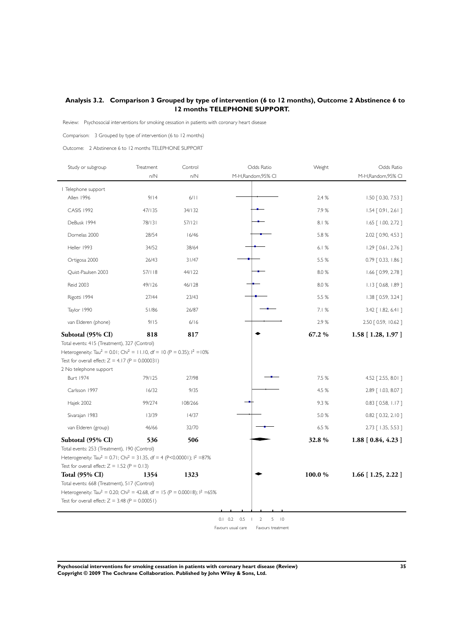### <span id="page-36-0"></span>**Analysis 3.2. Comparison 3 Grouped by type of intervention (6 to 12 months), Outcome 2 Abstinence 6 to 12 months TELEPHONE SUPPORT.**

Review: Psychosocial interventions for smoking cessation in patients with coronary heart disease

Comparison: 3 Grouped by type of intervention (6 to 12 months)

Outcome: 2 Abstinence 6 to 12 months TELEPHONE SUPPORT

| Study or subgroup                                                                                                                                                                                                                 | Treatment<br>$n/N$ | Control<br>n/N | Odds Ratio<br>M-H, Random, 95% CI              | Weight | Odds Ratio<br>M-H, Random, 95% CI |
|-----------------------------------------------------------------------------------------------------------------------------------------------------------------------------------------------------------------------------------|--------------------|----------------|------------------------------------------------|--------|-----------------------------------|
| I Telephone support                                                                                                                                                                                                               |                    |                |                                                |        |                                   |
| Allen 1996                                                                                                                                                                                                                        | 9/14               | 6/11           |                                                | 2.4%   | $1.50$ $[0.30, 7.53]$             |
| <b>CASIS 1992</b>                                                                                                                                                                                                                 | 47/135             | 34/132         |                                                | 7.9%   | $1.54$ [ 0.91, 2.61 ]             |
| DeBusk 1994                                                                                                                                                                                                                       | 78/131             | 57/121         |                                                | 8.1%   | $1.65$ $[ 1.00, 2.72 ]$           |
| Dornelas 2000                                                                                                                                                                                                                     | 28/54              | 16/46          |                                                | 5.8 %  | 2.02 [ 0.90, 4.53 ]               |
| Heller 1993                                                                                                                                                                                                                       | 34/52              | 38/64          |                                                | 6.1%   | $1.29$ [ 0.61, 2.76 ]             |
| Ortigosa 2000                                                                                                                                                                                                                     | 26/43              | 31/47          |                                                | 5.5 %  | 0.79 [0.33, 1.86]                 |
| Quist-Paulsen 2003                                                                                                                                                                                                                | 57/118             | 44/122         |                                                | 8.0%   | $1.66$ $[0.99, 2.78]$             |
| <b>Reid 2003</b>                                                                                                                                                                                                                  | 49/126             | 46/128         |                                                | 8.0 %  | $1.13$ $[0.68, 1.89]$             |
| Rigotti 1994                                                                                                                                                                                                                      | 27/44              | 23/43          |                                                | 5.5 %  | $1.38$ [ 0.59, 3.24 ]             |
| Taylor 1990                                                                                                                                                                                                                       | 51/86              | 26/87          |                                                | 7.1%   | 3.42 [ 1.82, 6.41 ]               |
| van Elderen (phone)                                                                                                                                                                                                               | 9/15               | 6/16           |                                                | 2.9%   | 2.50 [ 0.59, 10.62 ]              |
| Subtotal (95% CI)                                                                                                                                                                                                                 | 818                | 817            |                                                | 67.2 % | $1.58$ [ 1.28, 1.97 ]             |
| Heterogeneity: Tau <sup>2</sup> = 0.01; Chi <sup>2</sup> = 11.10, df = 10 (P = 0.35); l <sup>2</sup> = 10%<br>Test for overall effect: $Z = 4.17$ (P = 0.000031)<br>2 No telephone support<br>Burt 1974                           | 79/125             | 27/98          |                                                | 7.5 %  | 4.52 [ 2.55, 8.0   ]              |
| Carlsson 1997                                                                                                                                                                                                                     | 16/32              | 9/35           |                                                | 4.5 %  | 2.89 [ 1.03, 8.07 ]               |
| Hajek 2002                                                                                                                                                                                                                        | 99/274             | 108/266        |                                                | 9.3%   | $0.83$ $[0.58, 1.17]$             |
| Sivarajan 1983                                                                                                                                                                                                                    | 13/39              | 14/37          |                                                | 5.0 %  | $0.82$ $[0.32, 2.10]$             |
| van Elderen (group)                                                                                                                                                                                                               | 46/66              | 32/70          |                                                | 6.5 %  | 2.73 [ 1.35, 5.53 ]               |
| Subtotal (95% CI)<br>Total events: 253 (Treatment), 190 (Control)<br>Heterogeneity: Tau <sup>2</sup> = 0.71; Chi <sup>2</sup> = 31.35, df = 4 (P<0.00001); l <sup>2</sup> =87%<br>Test for overall effect: $Z = 1.52$ (P = 0.13)  | 536                | 506            |                                                | 32.8%  | $1.88$ [ $0.84, 4.23$ ]           |
| <b>Total (95% CI)</b><br>Total events: 668 (Treatment), 517 (Control)<br>Heterogeneity: Tau <sup>2</sup> = 0.20; Chi <sup>2</sup> = 42.68, df = 15 (P = 0.00018); $1^2$ =65%<br>Test for overall effect: $Z = 3.48$ (P = 0.00051) | 1354               | 1323           |                                                | 100.0% | $1.66$ [ $1.25$ , $2.22$ ]        |
|                                                                                                                                                                                                                                   |                    |                | $0.1$ $0.2$ $0.5$<br>$\overline{2}$<br>5<br> 0 |        |                                   |

Favours usual care | Favours treatment

**Psychosocial interventions for smoking cessation in patients with coronary heart disease (Review) 35 Copyright © 2009 The Cochrane Collaboration. Published by John Wiley & Sons, Ltd.**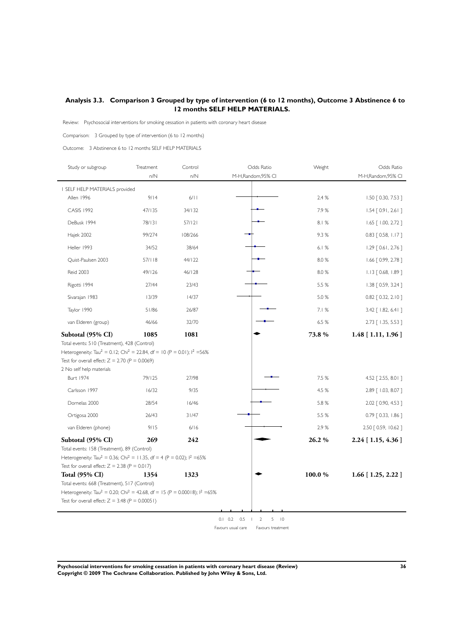### <span id="page-37-0"></span>**Analysis 3.3. Comparison 3 Grouped by type of intervention (6 to 12 months), Outcome 3 Abstinence 6 to 12 months SELF HELP MATERIALS.**

Review: Psychosocial interventions for smoking cessation in patients with coronary heart disease

Comparison: 3 Grouped by type of intervention (6 to 12 months)

Outcome: 3 Abstinence 6 to 12 months SELF HELP MATERIALS

| Study or subgroup                                                                                                                                                                                                                 | Treatment<br>n/N | Control<br>n/N | Odds Ratio<br>M-H,Random,95% CI                     | Weight | Odds Ratio<br>M-H,Random,95% CI |
|-----------------------------------------------------------------------------------------------------------------------------------------------------------------------------------------------------------------------------------|------------------|----------------|-----------------------------------------------------|--------|---------------------------------|
| I SELF HELP MATERIALS provided                                                                                                                                                                                                    |                  |                |                                                     |        |                                 |
| Allen 1996                                                                                                                                                                                                                        | 9/14             | 6/11           |                                                     | 2.4 %  | 1.50 [ 0.30, 7.53 ]             |
| <b>CASIS 1992</b>                                                                                                                                                                                                                 | 47/135           | 34/132         |                                                     | 7.9%   | $1.54$ [ 0.91, 2.61 ]           |
| DeBusk 1994                                                                                                                                                                                                                       | 78/131           | 57/121         |                                                     | 8.1%   | $1.65$ $[ 1.00, 2.72 ]$         |
| Hajek 2002                                                                                                                                                                                                                        | 99/274           | 108/266        |                                                     | 9.3%   | $0.83$ [ 0.58, 1.17 ]           |
| Heller 1993                                                                                                                                                                                                                       | 34/52            | 38/64          |                                                     | 6.1%   | $1.29$ $[0.61, 2.76]$           |
| Quist-Paulsen 2003                                                                                                                                                                                                                | 57/118           | 44/122         |                                                     | 8.0%   | $1.66$ $[0.99, 2.78]$           |
| <b>Reid 2003</b>                                                                                                                                                                                                                  | 49/126           | 46/128         |                                                     | 8.0%   | $1.13$ $[0.68, 1.89]$           |
| Rigotti 1994                                                                                                                                                                                                                      | 27/44            | 23/43          |                                                     | 5.5 %  | 1.38 [ 0.59, 3.24 ]             |
| Sivarajan 1983                                                                                                                                                                                                                    | 13/39            | 14/37          |                                                     | 5.0 %  | $0.82$ [ 0.32, 2.10 ]           |
| Taylor 1990                                                                                                                                                                                                                       | 51/86            | 26/87          |                                                     | 7.1%   | 3.42 [ 1.82, 6.41 ]             |
| van Elderen (group)                                                                                                                                                                                                               | 46/66            | 32/70          |                                                     | 6.5 %  | 2.73 [ 1.35, 5.53 ]             |
| Subtotal (95% CI)                                                                                                                                                                                                                 | 1085             | 1081           |                                                     | 73.8%  | $1.48$ [ 1.11, 1.96 ]           |
| Heterogeneity: Tau <sup>2</sup> = 0.12; Chi <sup>2</sup> = 22.84, df = 10 (P = 0.01); l <sup>2</sup> = 56%<br>Test for overall effect: $Z = 2.70$ (P = 0.0069)<br>2 No self help materials<br><b>Burt 1974</b>                    | 79/125           | 27/98          |                                                     | 7.5 %  | 4.52 [ 2.55, 8.01 ]             |
| Carlsson 1997                                                                                                                                                                                                                     | 16/32            | 9/35           |                                                     | 4.5 %  | 2.89 [ 1.03, 8.07 ]             |
| Dornelas 2000                                                                                                                                                                                                                     | 28/54            | 16/46          |                                                     | 5.8 %  | 2.02 [ 0.90, 4.53 ]             |
| Ortigosa 2000                                                                                                                                                                                                                     | 26/43            | 31/47          |                                                     | 5.5 %  | $0.79$ $[0.33, 1.86]$           |
| van Elderen (phone)                                                                                                                                                                                                               | 9/15             | 6/16           |                                                     | 2.9%   | 2.50 [ 0.59, 10.62 ]            |
|                                                                                                                                                                                                                                   | 269              | 242            |                                                     | 26.2%  |                                 |
| Subtotal (95% CI)<br>Total events: 158 (Treatment), 89 (Control)<br>Heterogeneity: Tau <sup>2</sup> = 0.36; Chi <sup>2</sup> = 11.35, df = 4 (P = 0.02); l <sup>2</sup> =65%<br>Test for overall effect: $Z = 2.38$ (P = 0.017)   |                  |                |                                                     |        | 2.24 [1.15, 4.36]               |
| <b>Total (95% CI)</b><br>Total events: 668 (Treatment), 517 (Control)<br>Heterogeneity: Tau <sup>2</sup> = 0.20; Chi <sup>2</sup> = 42.68, df = 15 (P = 0.00018); $1^2$ =65%<br>Test for overall effect: $Z = 3.48$ (P = 0.00051) | 1354             | 1323           |                                                     | 100.0% | $1.66$ [ $1.25$ , $2.22$ ]      |
|                                                                                                                                                                                                                                   |                  |                | $0.1$ $0.2$ $0.5$<br>$\overline{2}$<br>$5 \quad 10$ |        |                                 |

Favours usual care Favours treatment

**Psychosocial interventions for smoking cessation in patients with coronary heart disease (Review) 36 Copyright © 2009 The Cochrane Collaboration. Published by John Wiley & Sons, Ltd.**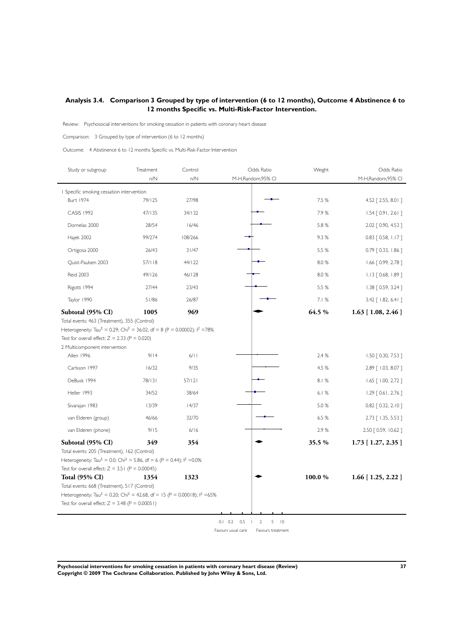### <span id="page-38-0"></span>**Analysis 3.4. Comparison 3 Grouped by type of intervention (6 to 12 months), Outcome 4 Abstinence 6 to 12 months Specific vs. Multi-Risk-Factor Intervention.**

Review: Psychosocial interventions for smoking cessation in patients with coronary heart disease

Comparison: 3 Grouped by type of intervention (6 to 12 months)

Outcome: 4 Abstinence 6 to 12 months Specific vs. Multi-Risk-Factor Intervention

| Study or subgroup                                                                                                                                                                                                                 | Treatment<br>n/N | Control<br>n/N | Odds Ratio<br>M-H,Random,95% CI                             | Weight | Odds Ratio<br>M-H,Random,95% CI |
|-----------------------------------------------------------------------------------------------------------------------------------------------------------------------------------------------------------------------------------|------------------|----------------|-------------------------------------------------------------|--------|---------------------------------|
| I Specific smoking cessation intervention                                                                                                                                                                                         |                  |                |                                                             |        |                                 |
| <b>Burt 1974</b>                                                                                                                                                                                                                  | 79/125           | 27/98          |                                                             | 7.5 %  | 4.52 [ 2.55, 8.0   ]            |
| <b>CASIS 1992</b>                                                                                                                                                                                                                 | 47/135           | 34/132         |                                                             | 7.9%   | $1.54$ [ 0.91, 2.61 ]           |
| Dornelas 2000                                                                                                                                                                                                                     | 28/54            | 16/46          |                                                             | 5.8 %  | 2.02 [ 0.90, 4.53 ]             |
| Hajek 2002                                                                                                                                                                                                                        | 99/274           | 108/266        |                                                             | 9.3%   | $0.83$ $[0.58, 1.17]$           |
| Ortigosa 2000                                                                                                                                                                                                                     | 26/43            | 31/47          |                                                             | 5.5 %  | 0.79 [ 0.33, 1.86 ]             |
| Quist-Paulsen 2003                                                                                                                                                                                                                | 57/118           | 44/122         |                                                             | 8.0%   | $1.66$ $[0.99, 2.78]$           |
| <b>Reid 2003</b>                                                                                                                                                                                                                  | 49/126           | 46/128         |                                                             | 8.0%   | $1.13$ $[0.68, 1.89]$           |
| Rigotti 1994                                                                                                                                                                                                                      | 27/44            | 23/43          |                                                             | 5.5 %  | 1.38 [ 0.59, 3.24 ]             |
| Taylor 1990                                                                                                                                                                                                                       | 51/86            | 26/87          |                                                             | 7.1%   | 3.42 [ 1.82, 6.41 ]             |
| Subtotal (95% CI)                                                                                                                                                                                                                 | 1005             | 969            |                                                             | 64.5 % | $1.63$ [ 1.08, 2.46 ]           |
| Test for overall effect: $Z = 2.33$ (P = 0.020)<br>2 Multicomponent intervention<br>Allen 1996                                                                                                                                    | 9/14             | 6/11           |                                                             | 2.4 %  | $1.50$ $[0.30, 7.53]$           |
|                                                                                                                                                                                                                                   |                  |                |                                                             |        |                                 |
| Carlsson 1997                                                                                                                                                                                                                     | 16/32            | 9/35           |                                                             | 4.5 %  | 2.89 [ 1.03, 8.07 ]             |
| DeBusk 1994                                                                                                                                                                                                                       | 78/131           | 57/121         |                                                             | 8.1%   | $1.65$ $[ 1.00, 2.72 ]$         |
| Heller 1993                                                                                                                                                                                                                       | 34/52            | 38/64          |                                                             | 6.1%   | $1.29$ [ 0.61, 2.76 ]           |
| Sivarajan 1983                                                                                                                                                                                                                    | 13/39            | 14/37          |                                                             | 5.0 %  | $0.82$ $[0.32, 2.10]$           |
| van Elderen (group)                                                                                                                                                                                                               | 46/66            | 32/70          |                                                             | 6.5 %  | 2.73 [ 1.35, 5.53 ]             |
| van Elderen (phone)                                                                                                                                                                                                               | 9/15             | 6/16           |                                                             | 2.9%   | 2.50 [ 0.59, 10.62 ]            |
| Subtotal (95% CI)<br>Total events: 205 (Treatment), 162 (Control)<br>Heterogeneity: Tau <sup>2</sup> = 0.0; Chi <sup>2</sup> = 5.86, df = 6 (P = 0.44); $1^2$ = 0.0%<br>Test for overall effect: $Z = 3.51$ (P = 0.00045)         | 349              | 354            |                                                             | 35.5 % | $1.73$ [ $1.27, 2.35$ ]         |
| <b>Total (95% CI)</b><br>Total events: 668 (Treatment), 517 (Control)<br>Heterogeneity: Tau <sup>2</sup> = 0.20; Chi <sup>2</sup> = 42.68, df = 15 (P = 0.00018); $1^2$ =65%<br>Test for overall effect: $Z = 3.48$ (P = 0.00051) | 1354             | 1323           |                                                             | 100.0% | $1.66$ [ $1.25$ , $2.22$ ]      |
|                                                                                                                                                                                                                                   |                  |                | $0.1$ $0.2$ $0.5$<br>$\overline{2}$<br>5<br>$\overline{10}$ |        |                                 |

Favours usual care Favours treatment

**Psychosocial interventions for smoking cessation in patients with coronary heart disease (Review) 37 Copyright © 2009 The Cochrane Collaboration. Published by John Wiley & Sons, Ltd.**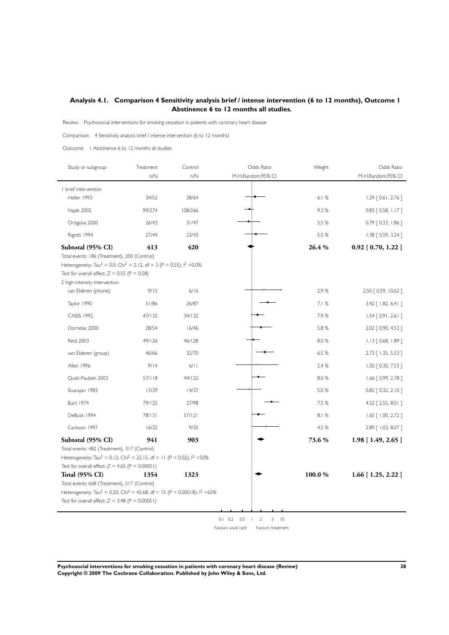### <span id="page-39-0"></span>**Analysis 4.1. Comparison 4 Sensitivity analysis brief / intense intervention (6 to 12 months), Outcome 1 Abstinence 6 to 12 months all studies.**

Review: Psychosocial interventions for smoking cessation in patients with coronary heart disease

Comparison: 4 Sensitivity analysis brief / intense intervention (6 to 12 months)

Outcome: 1 Abstinence 6 to 12 months all studies

| Study or subgroup                                                                                                                                                                                                                           | Treatment<br>n/N | Control<br>n/N | Odds Ratio<br>M-H,Random,95% CI | Weight | Odds Ratio<br>M-H,Random,95% CI |
|---------------------------------------------------------------------------------------------------------------------------------------------------------------------------------------------------------------------------------------------|------------------|----------------|---------------------------------|--------|---------------------------------|
|                                                                                                                                                                                                                                             |                  |                |                                 |        |                                 |
| I brief intervention<br>Heller 1993                                                                                                                                                                                                         | 34/52            | 38/64          |                                 | 6.1%   | $1.29$ [ 0.61, 2.76 ]           |
| Hajek 2002                                                                                                                                                                                                                                  | 99/274           | 108/266        |                                 | 9.3%   | $0.83$ $[0.58, 1.17]$           |
| Ortigosa 2000                                                                                                                                                                                                                               | 26/43            | 31/47          |                                 | 5.5 %  | $0.79$ $[0.33, 1.86]$           |
| Rigotti 1994                                                                                                                                                                                                                                | 27/44            | 23/43          |                                 | 5.5 %  | $1.38$ $[0.59, 3.24]$           |
| Subtotal (95% CI)                                                                                                                                                                                                                           | 413              | 420            |                                 | 26.4 % | $0.92$ [ $0.70$ , 1.22 ]        |
| Total events: 186 (Treatment), 200 (Control)<br>Heterogeneity: Tau <sup>2</sup> = 0.0; Chi <sup>2</sup> = 2.12, df = 3 (P = 0.55); l <sup>2</sup> = 0.0%<br>Test for overall effect: $Z = 0.55$ (P = 0.58)<br>2 high intensity intervention |                  |                |                                 |        |                                 |
| van Elderen (phone)                                                                                                                                                                                                                         | 9/15             | 6/16           |                                 | 2.9%   | 2.50 [ 0.59, 10.62 ]            |
| Taylor 1990                                                                                                                                                                                                                                 | 51/86            | 26/87          |                                 | 7.1%   | 3.42 [ 1.82, 6.41 ]             |
| <b>CASIS 1992</b>                                                                                                                                                                                                                           | 47/135           | 34/132         |                                 | 7.9%   | $1.54$ [ 0.91, 2.61 ]           |
| Dornelas 2000                                                                                                                                                                                                                               | 28/54            | 16/46          |                                 | 5.8 %  | 2.02 [ 0.90, 4.53 ]             |
| <b>Reid 2003</b>                                                                                                                                                                                                                            | 49/126           | 46/128         |                                 | 8.0%   | $1.13$ $[0.68, 1.89]$           |
| van Elderen (group)                                                                                                                                                                                                                         | 46/66            | 32/70          |                                 | 6.5 %  | 2.73 [ 1.35, 5.53 ]             |
| Allen 1996                                                                                                                                                                                                                                  | 9/14             | 6/11           |                                 | 2.4 %  | 1.50 [ 0.30, 7.53 ]             |
| Quist-Paulsen 2003                                                                                                                                                                                                                          | 57/118           | 44/122         |                                 | 8.0%   | $1.66$ $[0.99, 2.78]$           |
| Sivarajan 1983                                                                                                                                                                                                                              | 13/39            | 14/37          |                                 | 5.0 %  | $0.82$ $[0.32, 2.10]$           |
| <b>Burt 1974</b>                                                                                                                                                                                                                            | 79/125           | 27/98          |                                 | 7.5 %  | 4.52 [ 2.55, 8.0   ]            |
| DeBusk 1994                                                                                                                                                                                                                                 | 78/131           | 57/121         |                                 | 8.1%   | $1.65$ $[ 1.00, 2.72 ]$         |
| Carlsson 1997                                                                                                                                                                                                                               | 16/32            | 9/35           |                                 | 4.5 %  | 2.89 [ 1.03, 8.07 ]             |
| Subtotal (95% CI)                                                                                                                                                                                                                           | 941              | 903            |                                 | 73.6 % | 1.98 [1.49, 2.65]               |
| Total events: 482 (Treatment), 317 (Control)<br>Heterogeneity: Tau <sup>2</sup> = 0.12; Chi <sup>2</sup> = 22.15, df = 11 (P = 0.02); $1^2$ =50%<br>Test for overall effect: $Z = 4.65$ (P < 0.00001)                                       |                  |                |                                 |        |                                 |
| <b>Total (95% CI)</b>                                                                                                                                                                                                                       | 1354             | 1323           |                                 | 100.0% | $1.66$ [ $1.25$ , $2.22$ ]      |
| Total events: 668 (Treatment), 517 (Control)<br>Heterogeneity: Tau <sup>2</sup> = 0.20; Chi <sup>2</sup> = 42.68, df = 15 (P = 0.00018); $1^2$ =65%<br>Test for overall effect: $Z = 3.48$ (P = 0.00051)                                    |                  |                |                                 |        |                                 |

 $0.1 \t0.2 \t0.5 \t1 2 \t5 10$ 

Favours usual care Favours treatment

**Psychosocial interventions for smoking cessation in patients with coronary heart disease (Review) 38 Copyright © 2009 The Cochrane Collaboration. Published by John Wiley & Sons, Ltd.**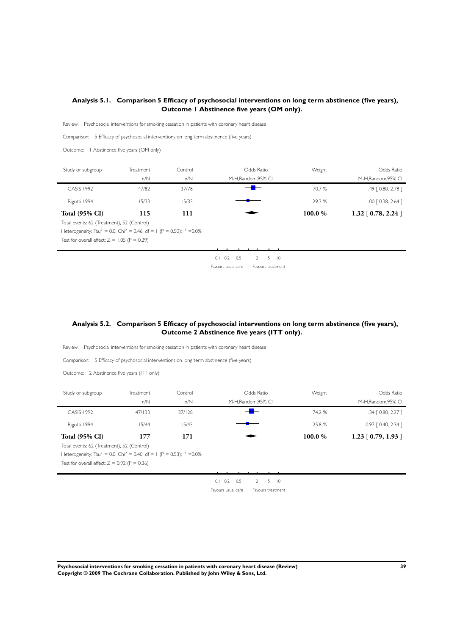### <span id="page-40-0"></span>**Analysis 5.1. Comparison 5 Efficacy of psychosocial interventions on long term abstinence (five years), Outcome 1 Abstinence five years (OM only).**

Review: Psychosocial interventions for smoking cessation in patients with coronary heart disease

Comparison: 5 Efficacy of psychosocial interventions on long term abstinence (five years)

Outcome: 1 Abstinence five years (OM only)

| Study or subgroup                                                                                        | Treatment | Control | Odds Ratio         |                     | Weight | Odds Ratio            |
|----------------------------------------------------------------------------------------------------------|-----------|---------|--------------------|---------------------|--------|-----------------------|
|                                                                                                          | n/N       | n/N     |                    | M-H, Random, 95% CI |        | M-H, Random, 95% CI   |
| <b>CASIS 1992</b>                                                                                        | 47/82     | 37/78   |                    |                     | 70.7 % | $1.49$ $[0.80, 2.78]$ |
| Rigotti 1994                                                                                             | 15/33     | 15/33   |                    |                     | 29.3 % | $1.00$ $[0.38, 2.64]$ |
| <b>Total (95% CI)</b>                                                                                    | 115       | 111     |                    |                     | 100.0% | $1.32$ [ 0.78, 2.24 ] |
| Total events: 62 (Treatment), 52 (Control)                                                               |           |         |                    |                     |        |                       |
| Heterogeneity: Tau <sup>2</sup> = 0.0; Chi <sup>2</sup> = 0.46, df = 1 (P = 0.50); l <sup>2</sup> = 0.0% |           |         |                    |                     |        |                       |
| Test for overall effect: $Z = 1.05$ (P = 0.29)                                                           |           |         |                    |                     |        |                       |
|                                                                                                          |           |         |                    |                     |        |                       |
|                                                                                                          |           |         | -0.5<br>0.2<br>0.1 | $5 \quad 10$<br>2   |        |                       |
|                                                                                                          |           |         | Favours usual care | Favours treatment   |        |                       |

### **Analysis 5.2. Comparison 5 Efficacy of psychosocial interventions on long term abstinence (five years), Outcome 2 Abstinence five years (ITT only).**

Review: Psychosocial interventions for smoking cessation in patients with coronary heart disease

Comparison: 5 Efficacy of psychosocial interventions on long term abstinence (five years)

Outcome: 2 Abstinence five years (ITT only)

| Study or subgroup                                                                                                                                                                                                                               | Treatment<br>n/N | Control<br>n/N | M-H,Random,95% CI                       | Odds Ratio                                     | Weight                | Odds Ratio<br>M-H, Random, 95% CI |
|-------------------------------------------------------------------------------------------------------------------------------------------------------------------------------------------------------------------------------------------------|------------------|----------------|-----------------------------------------|------------------------------------------------|-----------------------|-----------------------------------|
| <b>CASIS 1992</b>                                                                                                                                                                                                                               | 47/133           | 37/128         |                                         |                                                | 74.2 %                | $1.34$ $[0.80, 2.27]$             |
| Rigotti 1994                                                                                                                                                                                                                                    | 15/44            | 15/43          |                                         |                                                | 25.8 %                | $0.97$ $[0.40, 2.34]$             |
| <b>Total (95% CI)</b><br>177<br>171<br>Total events: 62 (Treatment), 52 (Control)<br>Heterogeneity: Tau <sup>2</sup> = 0.0; Chi <sup>2</sup> = 0.40, df = 1 (P = 0.53); l <sup>2</sup> = 0.0%<br>Test for overall effect: $Z = 0.92$ (P = 0.36) |                  |                |                                         | 100.0%                                         | $1.23$ [ 0.79, 1.93 ] |                                   |
|                                                                                                                                                                                                                                                 |                  |                | $0.1$ $0.2$ $0.5$<br>Favours usual care | $5$ $10$<br>$\mathcal{L}$<br>Favours treatment |                       |                                   |

**Psychosocial interventions for smoking cessation in patients with coronary heart disease (Review) 39 Copyright © 2009 The Cochrane Collaboration. Published by John Wiley & Sons, Ltd.**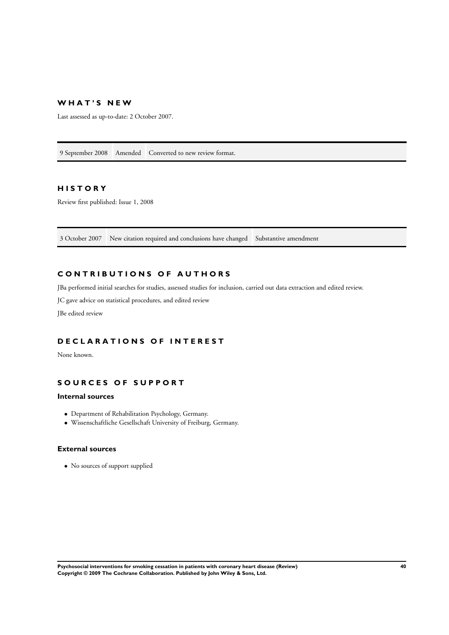### **W H A T ' S N E W**

Last assessed as up-to-date: 2 October 2007.

9 September 2008 Amended Converted to new review format.

### **H I S T O R Y**

Review first published: Issue 1, 2008

3 October 2007 New citation required and conclusions have changed Substantive amendment

### **C O N T R I B U T I O N S O F A U T H O R S**

JBa performed initial searches for studies, assessed studies for inclusion, carried out data extraction and edited review.

JC gave advice on statistical procedures, and edited review

JBe edited review

### **D E C L A R A T I O N S O F I N T E R E S T**

None known.

### **S O U R C E S O F S U P P O R T**

### **Internal sources**

- Department of Rehabilitation Psychology, Germany.
- Wissenschaftliche Gesellschaft University of Freiburg, Germany.

### **External sources**

• No sources of support supplied